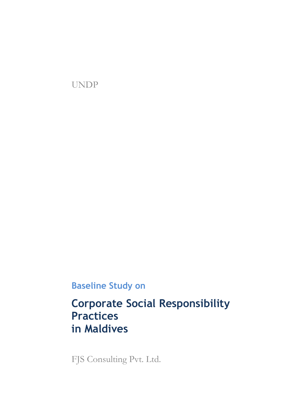UNDP

## **Baseline Study on**

## **Corporate Social Responsibility Practices in Maldives**

FJS Consulting Pvt. Ltd.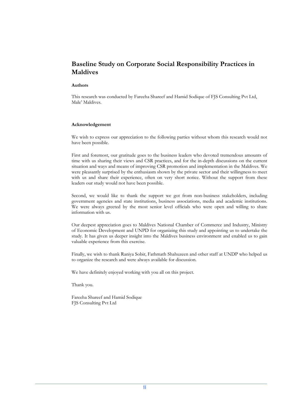### **Baseline Study on Corporate Social Responsibility Practices in Maldives**

#### **Authors**

This research was conducted by Fareeha Shareef and Hamid Sodique of FJS Consulting Pvt Ltd, Male' Maldives.

#### **Acknowledgement**

We wish to express our appreciation to the following parties without whom this research would not have been possible.

First and foremost, our gratitude goes to the business leaders who devoted tremendous amounts of time with us sharing their views and CSR practices, and for the in-depth discussions on the current situation and ways and means of improving CSR promotion and implementation in the Maldives. We were pleasantly surprised by the enthusiasm shown by the private sector and their willingness to meet with us and share their experience, often on very short notice. Without the support from these leaders our study would not have been possible.

Second, we would like to thank the support we got from non-business stakeholders, including government agencies and state institutions, business associations, media and academic institutions. We were always greeted by the most senior level officials who were open and willing to share information with us.

Our deepest appreciation goes to Maldives National Chamber of Commerce and Industry, Ministry of Economic Development and UNPD for organizing this study and appointing us to undertake the study. It has given us deeper insight into the Maldives business environment and enabled us to gain valuable experience from this exercise.

Finally, we wish to thank Raniya Sobir, Fathmath Shahuzeen and other staff at UNDP who helped us to organize the research and were always available for discussion.

We have definitely enjoyed working with you all on this project.

Thank you.

Fareeha Shareef and Hamid Sodique FJS Consulting Pvt Ltd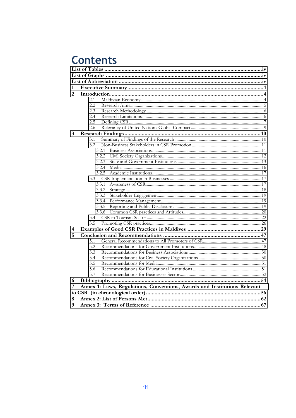# **Contents**

| 1 |                                                                           |  |
|---|---------------------------------------------------------------------------|--|
| 2 |                                                                           |  |
|   | 2.1                                                                       |  |
|   | 2.2.                                                                      |  |
|   | 2.3                                                                       |  |
|   | 2.4                                                                       |  |
|   | 2.5                                                                       |  |
|   | 2.6                                                                       |  |
| 3 |                                                                           |  |
|   | 3.1                                                                       |  |
|   | 3.2                                                                       |  |
|   | 3.2.1                                                                     |  |
|   |                                                                           |  |
|   | 3.2.3                                                                     |  |
|   | 3.2.4                                                                     |  |
|   |                                                                           |  |
|   |                                                                           |  |
|   | 3.3.1                                                                     |  |
|   | 3.3.2                                                                     |  |
|   |                                                                           |  |
|   |                                                                           |  |
|   | 3.3.5                                                                     |  |
|   |                                                                           |  |
|   | 3.4                                                                       |  |
|   | 3.5                                                                       |  |
| 4 |                                                                           |  |
| 5 |                                                                           |  |
|   | 5.1                                                                       |  |
|   | 5.2                                                                       |  |
|   | 5.3                                                                       |  |
|   | 5.4                                                                       |  |
|   | 5.5                                                                       |  |
|   | 5.6                                                                       |  |
|   | 5.7                                                                       |  |
| 6 |                                                                           |  |
| 7 | Annex 1: Laws, Regulations, Conventions, Awards and Institutions Relevant |  |
|   |                                                                           |  |
| 8 |                                                                           |  |
| 9 |                                                                           |  |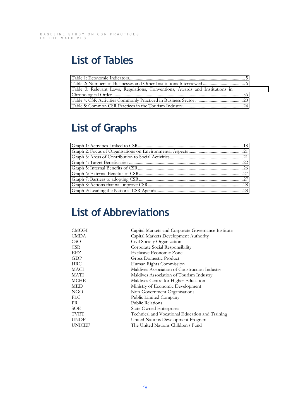# <span id="page-3-0"></span>**List of Tables**

| Table 3: Relevant Laws, Regulations, Conventions, Awards and Institutions in |  |
|------------------------------------------------------------------------------|--|
|                                                                              |  |
|                                                                              |  |
|                                                                              |  |

# <span id="page-3-1"></span>**List of Graphs**

# <span id="page-3-2"></span>**List of Abbreviations**

| CMCGI       | Capital Markets and Corporate Governance Institute |
|-------------|----------------------------------------------------|
| CMDA        | Capital Markets Development Authority              |
| CSO         | Civil Society Organization                         |
| CSR.        | Corporate Social Responsibility                    |
| EEZ.        | <b>Exclusive Economic Zone</b>                     |
| GDP         | <b>Gross Domestic Product</b>                      |
| HRC.        | Human Rights Commission                            |
| MACI        | Maldives Association of Construction Industry      |
| <b>MATI</b> | Maldives Association of Tourism Industry           |
| MCHE        | Maldives Centre for Higher Education               |
| MED         | Ministry of Economic Development                   |
| NGO         | Non-Government Organisations                       |
| PLC.        | Public Limited Company                             |
| PR          | <b>Public Relations</b>                            |
| SOE         | <b>State Owned Enterprises</b>                     |
| TVET        | Technical and Vocational Education and Training    |
| <b>UNDP</b> | United Nations Development Program                 |
| UNICEF      | The United Nations Children's Fund                 |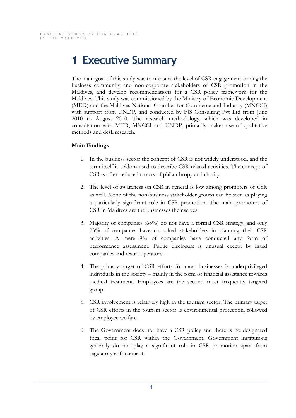## <span id="page-4-0"></span>**1 Executive Summary**

The main goal of this study was to measure the level of CSR engagement among the business community and non-corporate stakeholders of CSR promotion in the Maldives, and develop recommendations for a CSR policy framework for the Maldives. This study was commissioned by the Ministry of Economic Development (MED) and the Maldives National Chamber for Commerce and Industry (MNCCI) with support from UNDP, and conducted by FJS Consulting Pvt Ltd from June 2010 to August 2010. The research methodology, which was developed in consultation with MED, MNCCI and UNDP, primarily makes use of qualitative methods and desk research.

### **Main Findings**

- 1. In the business sector the concept of CSR is not widely understood, and the term itself is seldom used to describe CSR related activities. The concept of CSR is often reduced to acts of philanthropy and charity.
- 2. The level of awareness on CSR in general is low among promoters of CSR as well. None of the non-business stakeholder groups can be seen as playing a particularly significant role in CSR promotion. The main promoters of CSR in Maldives are the businesses themselves.
- 3. Majority of companies (68%) do not have a formal CSR strategy, and only 23% of companies have consulted stakeholders in planning their CSR activities. A mere 9% of companies have conducted any form of performance assessment. Public disclosure is unusual except by listed companies and resort operators.
- 4. The primary target of CSR efforts for most businesses is underprivileged individuals in the society – mainly in the form of financial assistance towards medical treatment. Employees are the second most frequently targeted group.
- 5. CSR involvement is relatively high in the tourism sector. The primary target of CSR efforts in the tourism sector is environmental protection, followed by employee welfare.
- 6. The Government does not have a CSR policy and there is no designated focal point for CSR within the Government. Government institutions generally do not play a significant role in CSR promotion apart from regulatory enforcement.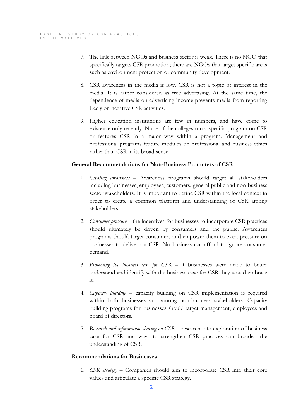- 7. The link between NGOs and business sector is weak. There is no NGO that specifically targets CSR promotion; there are NGOs that target specific areas such as environment protection or community development.
- 8. CSR awareness in the media is low. CSR is not a topic of interest in the media. It is rather considered as free advertising. At the same time, the dependence of media on advertising income prevents media from reporting freely on negative CSR activities.
- 9. Higher education institutions are few in numbers, and have come to existence only recently. None of the colleges run a specific program on CSR or features CSR in a major way within a program. Management and professional programs feature modules on professional and business ethics rather than CSR in its broad sense.

#### **General Recommendations for Non-Business Promoters of CSR**

- 1. *Creating awareness* Awareness programs should target all stakeholders including businesses, employees, customers, general public and non-business sector stakeholders. It is important to define CSR within the local context in order to create a common platform and understanding of CSR among stakeholders.
- 2. *Consumer pressure* the incentives for businesses to incorporate CSR practices should ultimately be driven by consumers and the public. Awareness programs should target consumers and empower them to exert pressure on businesses to deliver on CSR. No business can afford to ignore consumer demand.
- 3. Promoting the business case for CSR if businesses were made to better understand and identify with the business case for CSR they would embrace it.
- 4. *Capacity building* capacity building on CSR implementation is required within both businesses and among non-business stakeholders. Capacity building programs for businesses should target management, employees and board of directors.
- 5. *Research and information sharing on CSR* research into exploration of business case for CSR and ways to strengthen CSR practices can broaden the understanding of CSR.

#### **Recommendations for Businesses**

1. *CSR strategy* - Companies should aim to incorporate CSR into their core values and articulate a specific CSR strategy.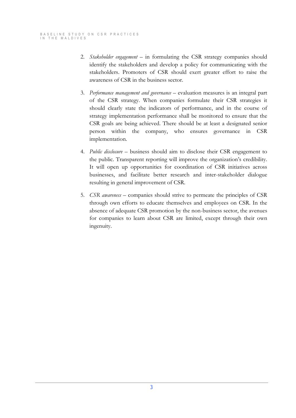- 2. *Stakeholder engagement* in formulating the CSR strategy companies should identify the stakeholders and develop a policy for communicating with the stakeholders. Promoters of CSR should exert greater effort to raise the awareness of CSR in the business sector.
- 3. *Performance management and governance* evaluation measures is an integral part of the CSR strategy. When companies formulate their CSR strategies it should clearly state the indicators of performance, and in the course of strategy implementation performance shall be monitored to ensure that the CSR goals are being achieved. There should be at least a designated senior person within the company, who ensures governance in CSR implementation.
- 4. Public disclosure business should aim to disclose their CSR engagement to the public. Transparent reporting will improve the organization's credibility. It will open up opportunities for coordination of CSR initiatives across businesses, and facilitate better research and inter-stakeholder dialogue resulting in general improvement of CSR.
- 5. *CSR awareness* companies should strive to permeate the principles of CSR through own efforts to educate themselves and employees on CSR. In the absence of adequate CSR promotion by the non-business sector, the avenues for companies to learn about CSR are limited, except through their own ingenuity.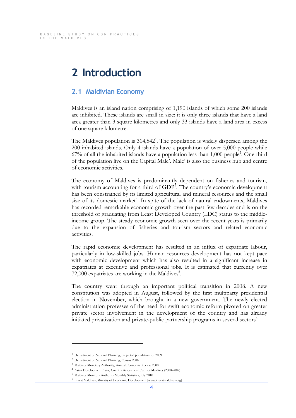## <span id="page-7-0"></span>**2 Introduction**

### <span id="page-7-1"></span>**2.1 Maldivian Economy**

Maldives is an island nation comprising of 1,190 islands of which some 200 islands are inhibited. These islands are small in size; it is only three islands that have a land area greater than 3 square kilometres and only 33 islands have a land area in excess of one square kilometre.

The Maldives population is 314,542<sup>1</sup>. The population is widely dispersed among the 200 inhabited islands. Only 4 islands have a population of over 5,000 people while  $67%$  of all the inhabited islands have a population less than  $1,000$  people<sup>2</sup>. One-third of the population live on the Capital Male'. Male' is also the business hub and centre of economic activities.

The economy of Maldives is predominantly dependent on fisheries and tourism, with tourism accounting for a third of  $GDP<sup>3</sup>$ . The country's economic development has been constrained by its limited agricultural and mineral resources and the small size of its domestic market<sup>4</sup>. In spite of the lack of natural endowments, Maldives has recorded remarkable economic growth over the past few decades and is on the threshold of graduating from Least Developed Country (LDC) status to the middleincome group. The steady economic growth seen over the recent years is primarily due to the expansion of fisheries and tourism sectors and related economic activities.

The rapid economic development has resulted in an influx of expatriate labour, particularly in low-skilled jobs. Human resources development has not kept pace with economic development which has also resulted in a significant increase in expatriates at executive and professional jobs. It is estimated that currently over 72,000 expatriates are working in the Maldives $5$ .

The country went through an important political transition in 2008. A new constitution was adopted in August, followed by the first multiparty presidential election in November, which brought in a new government. The newly elected administration professes of the need for swift economic reform pivoted on greater private sector involvement in the development of the country and has already initiated privatization and private-public partnership programs in several sectors<sup>6</sup>.

-

<sup>1</sup> Department of National Planning, projected population for 2009

<sup>2</sup> Department of National Planning, Census 2006

<sup>3</sup> Maldives Monetary Authority, Annual Economic Review 2008

<sup>4</sup> Asian Development Bank, Country Assessment Plan for Maldives (2000-2002)

<sup>5</sup> Maldives Monitory Authority Monthly Statistics, July 2010

<sup>6</sup> Invest Maldives, Ministry of Economic Development [www.investmaldives.org]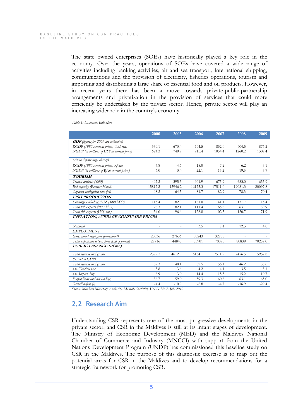The state owned enterprises (SOEs) have historically played a key role in the economy. Over the years, operations of SOEs have covered a wide range of activities including banking activities, air and sea transport, international shipping, communications and the provision of electricity, fisheries operations, tourism and importing and distributing a large share of essential food and oil products. However, in recent years there has been a move towards private-public-partnership arrangements and privatization in the provision of services that could more efficiently be undertaken by the private sector. Hence, private sector will play an increasing wider role in the country's economy.

|                                               | 2000    | 2005    | 2006    | 2007    | 2008    | 2009    |
|-----------------------------------------------|---------|---------|---------|---------|---------|---------|
| <b>GDP</b> (figures for 2009 are estimates)   |         |         |         |         |         |         |
| RGDP (1995 constant prices) US\$ mn.          | 539.1   | 673.4   | 794.5   | 852.0   | 904.5   | 876.2   |
| NGDP (in millions of US\$ at current price)   | 624.3   | 749.7   | 915.4   | 1054.4  | 1260.2  | 1307.4  |
| (Annual percentage change)                    |         |         |         |         |         |         |
| RGDP (1995 constant prices) Rf mn.            | 4.8     | $-4.6$  | 18.0    | 7.2     | 6.2     | $-3.1$  |
| NGDP (in millions of Rf at current price)     | 6.0     | $-3.4$  | 22.1    | 15.2    | 19.5    | 3.7     |
| <b>TOURISM</b>                                |         |         |         |         |         |         |
| Tourist arrivals ('000)                       | 467.2   | 395.3   | 601.9   | 675.9   | 683.0   | 655.9   |
| Bed capacity (Resorts/Hotels)                 | 15812.2 | 13946.2 | 16175.3 | 17511.0 | 19081.3 | 20097.8 |
| Capacity utilization rate (%)                 | 68.2    | 64.5    | 81.7    | 82.9    | 78.3    | 70.4    |
| <b>FISH PRODUCTION</b>                        |         |         |         |         |         |         |
| Landings excluding EEZ ('000 MTs)             | 115.4   | 182.9   | 181.0   | 141.1   | 131.7   | 115.4   |
| Total fish exports ('000 MTs)                 | 28.3    | 82.1    | 111.4   | 65.8    | 63.1    | 39.9    |
| Total fish exports (US\$ mn.)                 | 34.0    | 96.6    | 128.8   | 102.5   | 120.7   | 71.9    |
| <b>INFLATION, AVERAGE CONSUMER PRICES</b>     |         |         |         |         |         |         |
| National                                      | ۰       | ÷,      | 3.5     | 7.4     | 12.3    | 4.0     |
| <b>EMPLOYMENT</b>                             |         |         |         |         |         |         |
| Government employees (permanent)              | 20336   | 27636   | 30243   | 32788   |         |         |
| Total expatriate labour force (end of period) | 27716   | 44845   | 53901   | 70075   | 80839   | 70259.0 |
| <b>PUBLIC FINANCE (Rfmn)</b>                  |         |         |         |         |         |         |
| Total revenue and grants                      | 2372.7  | 4612.9  | 6154.1  | 7571.2  | 7456.5  | 5957.8  |
| (percent of GDP)                              |         |         |         |         |         |         |
| Total revenue and grants                      | 32.3    | 48.1    | 52.5    | 56.1    | 46.2    | 35.6    |
| o.w. Tourism tax                              | 3.8     | 3.6     | 4.2     | 4.1     | 3.5     | 3.1     |
| o.w. Import duty                              | 8.9     | 13.0    | 14.4    | 15.5    | 15.2    | 10.7    |
| Expenditure and net lending                   | 36.7    | 59.0    | 59.3    | 60.8    | 63.1    | 65.0    |
| Overall deficit (-)                           | $-4.4$  | $-10.9$ | $-6.8$  | $-4.7$  | $-16.9$ | $-29.4$ |

<span id="page-8-1"></span>*Table 1: Economic Indicators*

*Source: Maldives Monetary Authority, Monthly Statistics, Vol.11 No.7, July 2010*

## <span id="page-8-0"></span>**2.2 Research Aim**

Understanding CSR represents one of the most progressive developments in the private sector, and CSR in the Maldives is still at its infant stages of development. The Ministry of Economic Development (MED) and the Maldives National Chamber of Commerce and Industry (MNCCI) with support from the United Nations Development Program (UNDP) has commissioned this baseline study on CSR in the Maldives. The purpose of this diagnostic exercise is to map out the potential areas for CSR in the Maldives and to develop recommendations for a strategic framework for promoting CSR.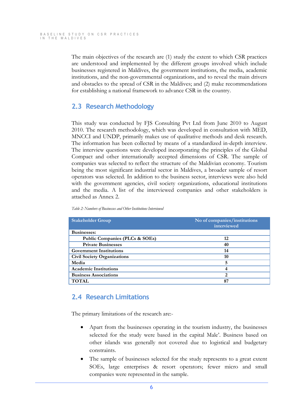The main objectives of the research are (1) study the extent to which CSR practices are understood and implemented by the different groups involved which include businesses registered in Maldives, the government institutions, the media, academic institutions, and the non-governmental organizations, and to reveal the main drivers and obstacles to the spread of CSR in the Maldives; and  $(2)$  make recommendations for establishing a national framework to advance CSR in the country.

## <span id="page-9-0"></span>**2.3 Research Methodology**

This study was conducted by FJS Consulting Pvt Ltd from June 2010 to August 2010. The research methodology, which was developed in consultation with MED, MNCCI and UNDP, primarily makes use of qualitative methods and desk research. The information has been collected by means of a standardized in-depth interview. The interview questions were developed incorporating the principles of the Global Compact and other internationally accepted dimensions of CSR. The sample of companies was selected to reflect the structure of the Maldivian economy. Tourism being the most significant industrial sector in Maldives, a broader sample of resort operators was selected. In addition to the business sector, interviews were also held with the government agencies, civil society organizations, educational institutions and the media. A list of the interviewed companies and other stakeholders is attached as Annex 2.

| <b>Stakeholder Group</b>                  | No of companies/institutions |  |  |
|-------------------------------------------|------------------------------|--|--|
|                                           | interviewed                  |  |  |
| <b>Businesses:</b>                        |                              |  |  |
| <b>Public Companies (PLCs &amp; SOEs)</b> | 12                           |  |  |
| <b>Private Businesses</b>                 | 40                           |  |  |
| <b>Government Institutions</b>            | 14                           |  |  |
| <b>Civil Society Organizations</b>        | 10                           |  |  |
| Media                                     | 5                            |  |  |
| <b>Academic Institutions</b>              | 4                            |  |  |
| <b>Business Associations</b>              | 2                            |  |  |
| <b>TOTAL</b>                              | 87                           |  |  |

<span id="page-9-2"></span>*Table 2: Numbers of Businesses and Other Institutions Interviewed*

## <span id="page-9-1"></span>**2.4 Research Limitations**

The primary limitations of the research are:-

- Apart from the businesses operating in the tourism industry, the businesses selected for the study were based in the capital Male'. Business based on other islands was generally not covered due to logistical and budgetary constraints.
- The sample of businesses selected for the study represents to a great extent SOEs, large enterprises & resort operators; fewer micro and small companies were represented in the sample.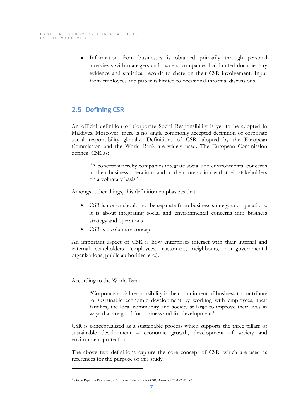• Information from businesses is obtained primarily through personal interviews with managers and owners; companies had limited documentary evidence and statistical records to share on their CSR involvement. Input from employees and public is limited to occasional informal discussions.

## <span id="page-10-0"></span>**2.5 Defining CSR**

An official definition of Corporate Social Responsibility is yet to be adopted in Maldives. Moreover, there is no single commonly accepted definition of corporate social responsibility globally. Definitions of CSR adopted by the European Commission and the World Bank are widely used. The European Commission  $defines<sup>7</sup> CSR as:$ 

"A concept whereby companies integrate social and environmental concerns in their business operations and in their interaction with their stakeholders on a voluntary basis"

Amongst other things, this definition emphasizes that:

- CSR is not or should not be separate from business strategy and operations: it is about integrating social and environmental concerns into business strategy and operations
- $\bullet$  CSR is a voluntary concept

An important aspect of CSR is how enterprises interact with their internal and external stakeholders (employees, customers, neighbours, non-governmental organizations, public authorities, etc.).

According to the World Bank:

-

"Corporate social responsibility is the commitment of business to contribute to sustainable economic development by working with employees, their families, the local community and society at large to improve their lives in ways that are good for business and for development."

CSR is conceptualized as a sustainable process which supports the three pillars of sustainable development – economic growth, development of society and environment protection.

The above two definitions capture the core concept of CSR, which are used as references for the purpose of this study.

<sup>7</sup> Green Paper on Promoting a European Framework for CSR, Brussels, COM (2001)366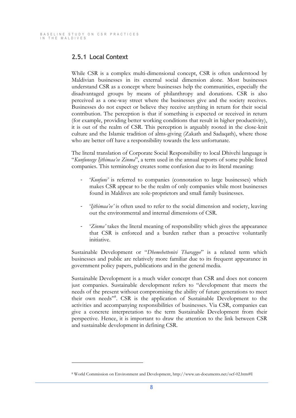-

## **2.5.1 Local Context**

While CSR is a complex multi-dimensional concept, CSR is often understood by Maldivian businesses in its external social dimension alone. Most businesses understand CSR as a concept where businesses help the communities, especially the disadvantaged groups by means of philanthropy and donations. CSR is also perceived as a one-way street where the businesses give and the society receives. Businesses do not expect or believe they receive anything in return for their social contribution. The perception is that if something is expected or received in return (for example, providing better working conditions that result in higher productivity), it is out of the realm of CSR. This perception is arguably rooted in the close-knit culture and the Islamic tradition of alms-giving (Zakath and Sadaqath), where those who are better off have a responsibility towards the less unfortunate.

The literal translation of Corporate Social Responsibility to local Dhivehi language is "*Kunfuneege Ijthimaa'ee Zinma*", a term used in the annual reports of some public listed companies. This terminology creates some confusion due to its literal meaning:

- 'Kunfuni' is referred to companies (connotation to large businesses) which makes CSR appear to be the realm of only companies while most businesses found in Maldives are sole-proprietors and small family businesses.
- '*Ijthimaa'ee'* is often used to refer to the social dimension and society, leaving out the environmental and internal dimensions of CSR.
- 'Zinma' takes the literal meaning of responsibility which gives the appearance that CSR is enforced and a burden rather than a proactive voluntarily initiative.

Sustainable Development or "*Dhemehettenivi Tharaggee*" is a related term which businesses and public are relatively more familiar due to its frequent appearance in government policy papers, publications and in the general media.

Sustainable Development is a much wider concept than CSR and does not concern just companies. Sustainable development refers to "development that meets the needs of the present without compromising the ability of future generations to meet their own needs"<sup>8</sup>. CSR is the application of Sustainable Development to the activities and accompanying responsibilities of businesses. Via CSR, companies can give a concrete interpretation to the term Sustainable Development from their perspective. Hence, it is important to draw the attention to the link between CSR and sustainable development in defining CSR.

<sup>8</sup> World Commission on Environment and Development, http://www.un-documents.net/ocf-02.htm#I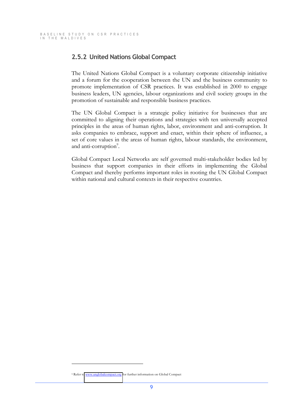### <span id="page-12-0"></span>**2.5.2 United Nations Global Compact**

The United Nations Global Compact is a voluntary corporate citizenship initiative and a forum for the cooperation between the UN and the business community to promote implementation of CSR practices. It was established in 2000 to engage business leaders, UN agencies, labour organizations and civil society groups in the promotion of sustainable and responsible business practices.

The UN Global Compact is a strategic policy initiative for businesses that are committed to aligning their operations and strategies with ten universally accepted principles in the areas of human rights, labor, environment and anti-corruption. It asks companies to embrace, support and enact, within their sphere of influence, a set of core values in the areas of human rights, labour standards, the environment, and anti-corruption<sup>9</sup>.

Global Compact Local Networks are self governed multi-stakeholder bodies led by business that support companies in their efforts in implementing the Global Compact and thereby performs important roles in rooting the UN Global Compact within national and cultural contexts in their respective countries.

-

<sup>9</sup> Refer t[o www.unglobalcompact.org](http://www.unglobalcompact.org/) for further information on Global Compact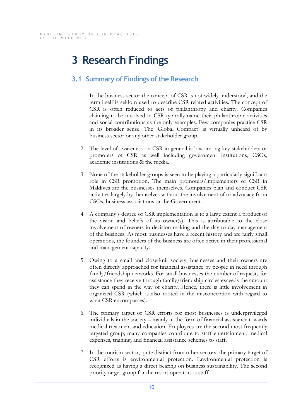# <span id="page-13-0"></span>**3 Research Findings**

## <span id="page-13-1"></span>**3.1 Summary of Findings of the Research**

- 1. In the business sector the concept of CSR is not widely understood, and the term itself is seldom used to describe CSR related activities. The concept of CSR is often reduced to acts of philanthropy and charity. Companies claiming to be involved in CSR typically name their philanthropic activities and social contributions as the only examples. Few companies practice CSR in its broader sense. The 'Global Compact' is virtually unheard of by business sector or any other stakeholder group.
- 2. The level of awareness on CSR in general is low among key stakeholders or promoters of CSR as well including government institutions, CSOs, academic institutions & the media.
- 3. None of the stakeholder groups is seen to be playing a particularly significant role in CSR promotion. The main promoters/implementers of CSR in Maldives are the businesses themselves. Companies plan and conduct CSR activities largely by themselves without the involvement of or advocacy from CSOs, business associations or the Government.
- 4. A company's degree of CSR implementation is to a large extent a product of the vision and beliefs of its owner(s). This is attributable to the close involvement of owners in decision making and the day to day management of the business. As most businesses have a recent history and are fairly small operations, the founders of the business are often active in their professional and management capacity.
- 5. Owing to a small and close-knit society, businesses and their owners are often directly approached for financial assistance by people in need through family/friendship networks. For small businesses the number of requests for assistance they receive through family/friendship circles exceeds the amount they can spend in the way of charity. Hence, there is little involvement in organized CSR (which is also rooted in the misconception with regard to what CSR encompasses).
- 6. The primary target of CSR efforts for most businesses is underprivileged individuals in the society  $-$  mainly in the form of financial assistance towards medical treatment and education. Employees are the second most frequently targeted group; many companies contribute to staff entertainment, medical expenses, training, and financial assistance schemes to staff.
- 7. In the tourism sector, quite distinct from other sectors, the primary target of CSR efforts is environmental protection. Environmental protection is recognized as having a direct bearing on business sustainability. The second priority target group for the resort operators is staff.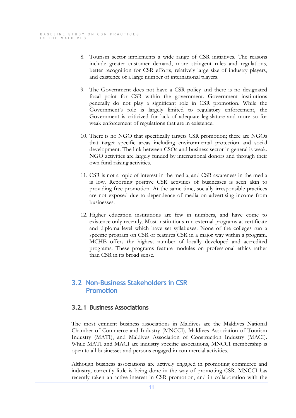- 8. Tourism sector implements a wide range of CSR initiatives. The reasons include greater customer demand, more stringent rules and regulations, better recognition for CSR efforts, relatively large size of industry players, and existence of a large number of international players.
- 9. The Government does not have a CSR policy and there is no designated focal point for CSR within the government. Government institutions generally do not play a significant role in CSR promotion. While the Government's role is largely limited to regulatory enforcement, the Government is criticized for lack of adequate legislature and more so for weak enforcement of regulations that are in existence.
- 10. There is no NGO that specifically targets CSR promotion; there are NGOs that target specific areas including environmental protection and social development. The link between CSOs and business sector in general is weak. NGO activities are largely funded by international donors and through their own fund raising activities.
- 11. CSR is not a topic of interest in the media, and CSR awareness in the media is low. Reporting positive CSR activities of businesses is seen akin to providing free promotion. At the same time, socially irresponsible practices are not exposed due to dependence of media on advertising income from businesses.
- 12. Higher education institutions are few in numbers, and have come to existence only recently. Most institutions run external programs at certificate and diploma level which have set syllabuses. None of the colleges run a specific program on CSR or features CSR in a major way within a program. MCHE offers the highest number of locally developed and accredited programs. These programs feature modules on professional ethics rather than CSR in its broad sense.

## <span id="page-14-0"></span>**3.2 Non-Business Stakeholders in CSR Promotion**

### <span id="page-14-1"></span>**3.2.1 Business Associations**

The most eminent business associations in Maldives are the Maldives National Chamber of Commerce and Industry (MNCCI), Maldives Association of Tourism Industry (MATI), and Maldives Association of Construction Industry (MACI). While MATI and MACI are industry specific associations, MNCCI membership is open to all businesses and persons engaged in commercial activities.

Although business associations are actively engaged in promoting commerce and industry, currently little is being done in the way of promoting CSR. MNCCI has recently taken an active interest in CSR promotion, and in collaboration with the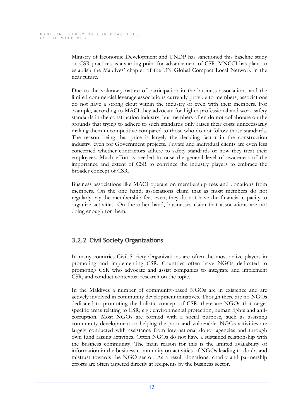Ministry of Economic Development and UNDP has sanctioned this baseline study on CSR practices as a starting point for advancement of CSR. MNCCI has plans to establish the Maldives' chapter of the UN Global Compact Local Network in the near future.

Due to the voluntary nature of participation in the business associations and the limited commercial leverage associations currently provide to members, associations do not have a strong clout within the industry or even with their members. For example, according to MACI they advocate for higher professional and work safety standards in the construction industry, but members often do not collaborate on the grounds that trying to adhere to such standards only raises their costs unnecessarily making them uncompetitive compared to those who do not follow those standards. The reason being that price is largely the deciding factor in the construction industry, even for Government projects. Private and individual clients are even less concerned whether contractors adhere to safety standards or how they treat their employees. Much effort is needed to raise the general level of awareness of the importance and extent of CSR to convince the industry players to embrace the broader concept of CSR.

Business associations like MACI operate on membership fees and donations from members. On the one hand, associations claim that as most members do not regularly pay the membership fees even, they do not have the financial capacity to organize activities. On the other hand, businesses claim that associations are not doing enough for them.

## <span id="page-15-0"></span>**3.2.2 Civil Society Organizations**

In many countries Civil Society Organizations are often the most active players in promoting and implementing CSR. Countries often have NGOs dedicated to promoting CSR who advocate and assist companies to integrate and implement CSR, and conduct contextual research on the topic.

In the Maldives a number of community-based NGOs are in existence and are actively involved in community development initiatives. Though there are no NGOs dedicated to promoting the holistic concept of CSR, there are NGOs that target specific areas relating to CSR, e.g.: environmental protection, human rights and anticorruption. Most NGOs are formed with a social purpose, such as assisting community development or helping the poor and vulnerable. NGOs activities are largely conducted with assistance from international donor agencies and through own fund raising activities. Often NGOs do not have a sustained relationship with the business community. The main reason for this is the limited availability of information in the business community on activities of NGOs leading to doubt and mistrust towards the NGO sector. As a result donations, charity and partnership efforts are often targeted directly at recipients by the business sector.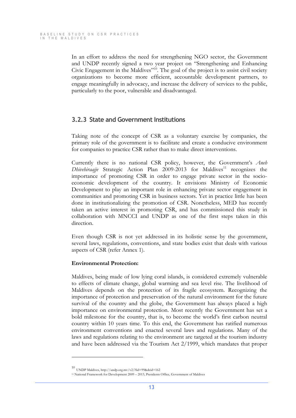In an effort to address the need for strengthening NGO sector, the Government and UNDP recently signed a two year project on "Strengthening and Enhancing  $\frac{1}{2}$  Civic Engagement in the Maldives<sup> $n10$ </sup>. The goal of the project is to assist civil society organizations to become more efficient, accountable development partners, to engage meaningfully in advocacy, and increase the delivery of services to the public, particularly to the poor, vulnerable and disadvantaged.

### <span id="page-16-0"></span>**3.2.3 State and Government Institutions**

Taking note of the concept of CSR as a voluntary exercise by companies, the primary role of the government is to facilitate and create a conducive environment for companies to practice CSR rather than to make direct interventions.

Currently there is no national CSR policy, however, the Government's Aneh *Dhivehiraajje* Strategic Action Plan 2009-2013 for Maldives<sup>11</sup> recognizes the importance of promoting CSR in order to engage private sector in the socioeconomic development of the country. It envisions Ministry of Economic Development to play an important role in enhancing private sector engagement in communities and promoting CSR in business sectors. Yet in practice little has been done in institutionalizing the promotion of CSR. Nonetheless, MED has recently taken an active interest in promoting CSR, and has commissioned this study in collaboration with MNCCI and UNDP as one of the first steps taken in this direction.

Even though CSR is not yet addressed in its holistic sense by the government, several laws, regulations, conventions, and state bodies exist that deals with various aspects of CSR (refer Annex 1).

#### **Environmental Protection:**

Maldives, being made of low lying coral islands, is considered extremely vulnerable to effects of climate change, global warming and sea level rise. The livelihood of Maldives depends on the protection of its fragile ecosystem. Recognizing the importance of protection and preservation of the natural environment for the future survival of the country and the globe, the Government has always placed a high importance on environmental protection. Most recently the Government has set a bold milestone for the country, that is, to become the world's first carbon neutral country within 10 years time. To this end, the Government has ratified numerous environment conventions and enacted several laws and regulations. Many of the laws and regulations relating to the environment are targeted at the tourism industry and have been addressed via the Tourism Act 2/1999, which mandates that proper

-

 $^{10}$  UNDP Maldives, http://undp.org.mv/v2/?lid=99&dcid=162

<sup>&</sup>lt;sup>11</sup> National Framework for Development 2009 - 2013, Presidents Office, Government of Maldives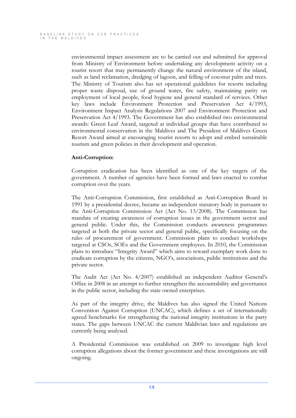environmental impact assessment are to be carried out and submitted for approval from Ministry of Environment before undertaking any development activity on a tourist resort that may permanently change the natural environment of the island, such as land reclamation, dredging of lagoon, and felling of coconut palm and trees. The Ministry of Tourism also has set operational guidelines for resorts including proper waste disposal, use of ground water, fire safety, maintaining parity on employment of local people, food hygiene and general standard of services. Other key laws include Environment Protection and Preservation Act 4/1993, Environment Impact Analysis Regulations 2007 and Environment Protection and Preservation Act 4/1993. The Government has also established two environmental awards: Green Leaf Award, targeted at individual groups that have contributed to environmental conservation in the Maldives and The President of Maldives Green Resort Award aimed at encouraging tourist resorts to adopt and embed sustainable tourism and green policies in their development and operation.

### **Anti-Corruption:**

Corruption eradication has been identified as one of the key targets of the government. A number of agencies have been formed and laws enacted to combat corruption over the years.

The Anti-Corruption Commission, first established as Anti-Corruption Board in 1991 by a presidential decree, became an independent statutory body in pursuant to the Anti-Corruption Commission Act (Act No. 13/2008). The Commission has mandate of creating awareness of corruption issues in the government sector and general public. Under this, the Commission conducts awareness programmes targeted at both the private sector and general public, specifically focusing on the rules of procurement of government. Commission plans to conduct workshops targeted at CSOs, SOEs and the Government employees. In 2010, the Commission plans to introduce "Integrity Award" which aims to reward exemplary work done to eradicate corruption by the citizens, NGO's, associations, public institutions and the private sector.

The Audit Act (Act No.  $4/2007$ ) established an independent Auditor General's Office in 2008 in an attempt to further strengthen the accountability and governance in the public sector, including the state owned enterprises.

As part of the integrity drive, the Maldives has also signed the United Nations Convention Against Corruption (UNCAC), which defines a set of internationally agreed benchmarks for strengthening the national integrity institutions in the party states. The gaps between UNCAC the current Maldivian laws and regulations are currently being analysed.

A Presidential Commission was established on 2009 to investigate high level corruption allegations about the former government and these investigations are still ongoing.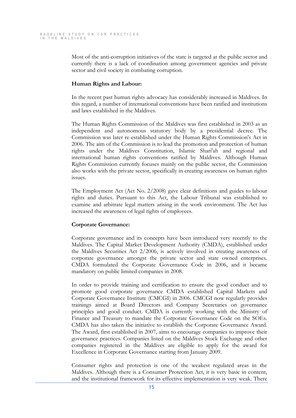Most of the anti-corruption initiatives of the state is targeted at the public sector and currently there is a lack of coordination among government agencies and private sector and civil society in combating corruption.

#### **Human Rights and Labour:**

In the recent past human rights advocacy has considerably increased in Maldives. In this regard, a number of international conventions have been ratified and institutions and laws established in the Maldives.

The Human Rights Commission of the Maldives was first established in 2003 as an independent and autonomous statutory body by a presidential decree. The Commission was later re-established under the Human Rights Commission's Act in 2006. The aim of the Commission is to lead the promotion and protection of human rights under the Maldives Constitution, Islamic Shari'ah and regional and international human rights conventions ratified by Maldives. Although Human Rights Commission currently focuses mainly on the public sector, the Commission also works with the private sector, specifically in creating awareness on human rights issues.

The Employment Act (Act No. 2/2008) gave clear definitions and guides to labour rights and duties. Pursuant to this Act, the Labour Tribunal was established to examine and arbitrate legal matters arising in the work environment. The Act has increased the awareness of legal rights of employees.

#### **Corporate Governance:**

Corporate governance and its concepts have been introduced very recently to the Maldives. The Capital Market Development Authority (CMDA), established under the Maldives Securities Act 2/2006, is actively involved in creating awareness of corporate governance amongst the private sector and state owned enterprises. CMDA formulated the Corporate Governance Code in 2006, and it became mandatory on public limited companies in 2008.

In order to provide training and certification to ensure the good conduct and to promote good corporate governance CMDA established Capital Markets and Corporate Governance Institute (CMCGI) in 2006. CMCGI now regularly provides trainings aimed at Board Directors and Company Secretaries on governance principles and good conduct. CMDA is currently working with the Ministry of Finance and Treasury to mandate the Corporate Governance Code on the SOEs. CMDA has also taken the initiative to establish the Corporate Governance Award. The Award, first established in 2007, aims to encourage companies to improve their governance practices. Companies listed on the Maldives Stock Exchange and other companies registered in the Maldives are eligible to apply for the award for Excellence in Corporate Governance starting from January 2009.

Consumer rights and protection is one of the weakest regulated areas in the Maldives. Although there is a Consumer Protection Act, it is very basic in content, and the institutional framework for its effective implementation is very weak. There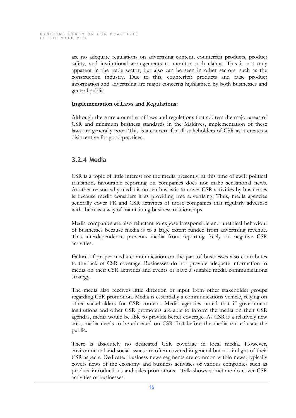are no adequate regulations on advertising content, counterfeit products, product safety, and institutional arrangements to monitor such claims. This is not only apparent in the trade sector, but also can be seen in other sectors, such as the construction industry. Due to this, counterfeit products and false product information and advertising are major concerns highlighted by both businesses and general public.

#### **Implementation of Laws and Regulations:**

Although there are a number of laws and regulations that address the major areas of CSR and minimum business standards in the Maldives, implementation of these laws are generally poor. This is a concern for all stakeholders of CSR as it creates a disincentive for good practices.

### <span id="page-19-0"></span>**3.2.4 Media**

CSR is a topic of little interest for the media presently; at this time of swift political transition, favourable reporting on companies does not make sensational news. Another reason why media is not enthusiastic to cover CSR activities by businesses is because media considers it as providing free advertising. Thus, media agencies generally cover PR and CSR activities of those companies that regularly advertise with them as a way of maintaining business relationships.

Media companies are also reluctant to expose irresponsible and unethical behaviour of businesses because media is to a large extent funded from advertising revenue. This interdependence prevents media from reporting freely on negative CSR activities.

Failure of proper media communication on the part of businesses also contributes to the lack of CSR coverage. Businesses do not provide adequate information to media on their CSR activities and events or have a suitable media communications strategy.

The media also receives little direction or input from other stakeholder groups regarding CSR promotion. Media is essentially a communications vehicle, relying on other stakeholders for CSR content. Media agencies noted that if government institutions and other CSR promoters are able to inform the media on their CSR agendas, media would be able to provide better coverage. As CSR is a relatively new area, media needs to be educated on CSR first before the media can educate the public.

There is absolutely no dedicated CSR coverage in local media. However, environmental and social issues are often covered in general but not in light of their CSR aspects. Dedicated business news segments are common within news; typically covers news of the economy and business activities of various companies such as product introductions and sales promotions. Talk shows sometime do cover CSR activities of businesses.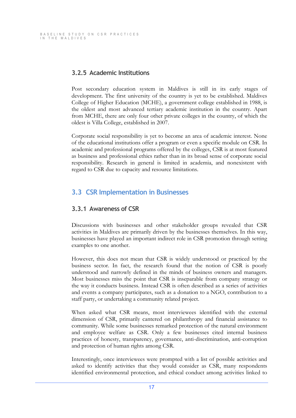## <span id="page-20-0"></span>**3.2.5 Academic Institutions**

Post secondary education system in Maldives is still in its early stages of development. The first university of the country is yet to be established. Maldives College of Higher Education (MCHE), a government college established in 1988, is the oldest and most advanced tertiary academic institution in the country. Apart from MCHE, there are only four other private colleges in the country, of which the oldest is Villa College, established in 2007.

Corporate social responsibility is yet to become an area of academic interest. None of the educational institutions offer a program or even a specific module on CSR. In academic and professional programs offered by the colleges, CSR is at most featured as business and professional ethics rather than in its broad sense of corporate social responsibility. Research in general is limited in academia, and nonexistent with regard to CSR due to capacity and resource limitations.

## <span id="page-20-1"></span>**3.3 CSR Implementation in Businesses**

### <span id="page-20-2"></span>**3.3.1 Awareness of CSR**

Discussions with businesses and other stakeholder groups revealed that CSR activities in Maldives are primarily driven by the businesses themselves. In this way, businesses have played an important indirect role in CSR promotion through setting examples to one another.

However, this does not mean that CSR is widely understood or practiced by the business sector. In fact, the research found that the notion of CSR is poorly understood and narrowly defined in the minds of business owners and managers. Most businesses miss the point that CSR is inseparable from company strategy or the way it conducts business. Instead CSR is often described as a series of activities and events a company participates, such as a donation to a NGO, contribution to a staff party, or undertaking a community related project.

When asked what CSR means, most interviewees identified with the external dimension of CSR, primarily cantered on philanthropy and financial assistance to community. While some businesses remarked protection of the natural environment and employee welfare as CSR. Only a few businesses cited internal business practices of honesty, transparency, governance, anti-discrimination, anti-corruption and protection of human rights among CSR.

Interestingly, once interviewees were prompted with a list of possible activities and asked to identify activities that they would consider as CSR, many respondents identified environmental protection, and ethical conduct among activities linked to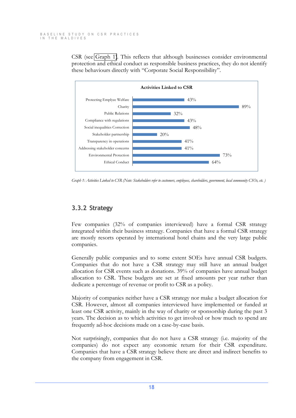CSR (see [Graph 1\)](#page-21-1). This reflects that although businesses consider environmental protection and ethical conduct as responsible business practices, they do not identify these behaviours directly with "Corporate Social Responsibility".



<span id="page-21-1"></span>*Graph 1: Activities Linked to CSR (Note: Stakeholders refer to customers, employees, shareholders, government, local community CSOs, etc. )*

### <span id="page-21-0"></span>**3.3.2 Strategy**

Few companies (32% of companies interviewed) have a formal CSR strategy integrated within their business strategy. Companies that have a formal CSR strategy are mostly resorts operated by international hotel chains and the very large public companies.

Generally public companies and to some extent SOEs have annual CSR budgets. Companies that do not have a CSR strategy may still have an annual budget allocation for CSR events such as donations. 39% of companies have annual budget allocation to CSR. These budgets are set at fixed amounts per year rather than dedicate a percentage of revenue or profit to CSR as a policy.

Majority of companies neither have a CSR strategy nor make a budget allocation for CSR. However, almost all companies interviewed have implemented or funded at least one CSR activity, mainly in the way of charity or sponsorship during the past 3 years. The decision as to which activities to get involved or how much to spend are frequently ad-hoc decisions made on a case-by-case basis.

Not surprisingly, companies that do not have a CSR strategy (i.e. majority of the companies) do not expect any economic return for their CSR expenditure. Companies that have a CSR strategy believe there are direct and indirect benefits to the company from engagement in CSR.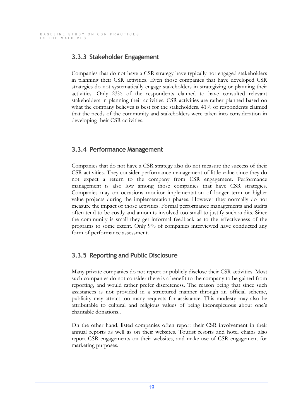## <span id="page-22-0"></span>**3.3.3 Stakeholder Engagement**

Companies that do not have a CSR strategy have typically not engaged stakeholders in planning their CSR activities. Even those companies that have developed CSR strategies do not systematically engage stakeholders in strategizing or planning their activities. Only 23% of the respondents claimed to have consulted relevant stakeholders in planning their activities. CSR activities are rather planned based on what the company believes is best for the stakeholders. 41% of respondents claimed that the needs of the community and stakeholders were taken into consideration in developing their CSR activities.

## <span id="page-22-1"></span>**3.3.4 Performance Management**

Companies that do not have a CSR strategy also do not measure the success of their CSR activities. They consider performance management of little value since they do not expect a return to the company from CSR engagement. Performance management is also low among those companies that have CSR strategies. Companies may on occasions monitor implementation of longer term or higher value projects during the implementation phases. However they normally do not measure the impact of those activities. Formal performance managements and audits often tend to be costly and amounts involved too small to justify such audits. Since the community is small they get informal feedback as to the effectiveness of the programs to some extent. Only 9% of companies interviewed have conducted any form of performance assessment.

## <span id="page-22-2"></span>**3.3.5 Reporting and Public Disclosure**

Many private companies do not report or publicly disclose their CSR activities. Most such companies do not consider there is a benefit to the company to be gained from reporting, and would rather prefer discreteness. The reason being that since such assistances is not provided in a structured manner through an official scheme, publicity may attract too many requests for assistance. This modesty may also be attributable to cultural and religious values of being inconspicuous about one's charitable donations..

On the other hand, listed companies often report their CSR involvement in their annual reports as well as on their websites. Tourist resorts and hotel chains also report CSR engagements on their websites, and make use of CSR engagement for marketing purposes.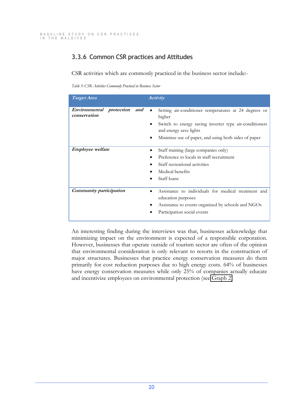## <span id="page-23-0"></span>**3.3.6 Common CSR practices and Attitudes**

CSR activities which are commonly practiced in the business sector include:-

<span id="page-23-1"></span>*Table 3: CSR Activities Commonly Practiced in Business Sector*

| Target Area                                     | <b>Activity</b>                                                                                                                                                                                                                    |
|-------------------------------------------------|------------------------------------------------------------------------------------------------------------------------------------------------------------------------------------------------------------------------------------|
| Environmental protection<br>and<br>conservation | Setting air-conditioner temperatures at 24 degrees or<br>$\bullet$<br>higher<br>Switch to energy saving inverter type air-conditioners<br>٠<br>and energy save lights<br>Minimize use of paper, and using both sides of paper<br>٠ |
| <b>Employee</b> welfare                         | Staff training (large companies only)<br>$\bullet$<br>Preference to locals in staff recruitment<br>Staff recreational activities<br>٠<br>Medical benefits<br>Staff loans<br>٠                                                      |
| Community participation                         | Assistance to individuals for medical treatment and<br>$\bullet$<br>education purposes<br>Assistance to events organized by schools and NGOs<br>Participation social events                                                        |

An interesting finding during the interviews was that, businesses acknowledge that minimizing impact on the environment is expected of a responsible corporation. However, businesses that operate outside of tourism sector are often of the opinion that environmental consideration is only relevant to resorts in the construction of major structures. Businesses that practice energy conservation measures do them primarily for cost reduction purposes due to high energy costs. 64% of businesses have energy conservation measures while only 25% of companies actually educate and incentivize employees on environmental protection (see [Graph 2\)](#page-24-0)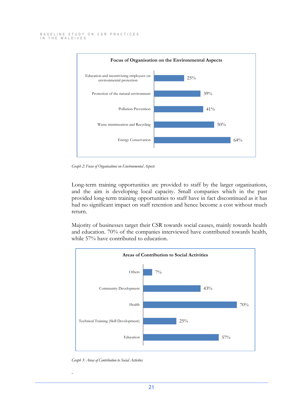

<span id="page-24-0"></span>*Graph 2: Focus of Organisations on Environmental Aspects*

Long-term training opportunities are provided to staff by the larger organisations, and the aim is developing local capacity. Small companies which in the past provided long-term training opportunities to staff have in fact discontinued as it has had no significant impact on staff retention and hence become a cost without much return.

Majority of businesses target their CSR towards social causes, mainly towards health and education. 70% of the companies interviewed have contributed towards health, while 57% have contributed to education.



<span id="page-24-1"></span>*Graph 3: Areas of Contribution to Social Activities*

.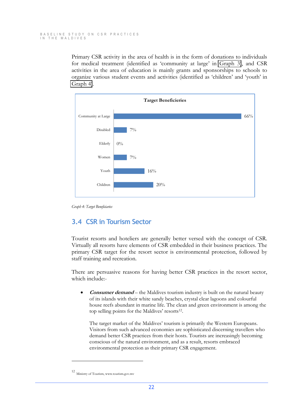Primary CSR activity in the area of health is in the form of donations to individuals for medical treatment (identified as 'community at large' in [Graph 3\)](#page-24-1), and CSR activities in the area of education is mainly grants and sponsorships to schools to organize various student events and activities (identified as 'children' and 'youth' in [Graph 4\)](#page-25-1).



<span id="page-25-1"></span>*Graph 4: Target Beneficiaries*

## <span id="page-25-0"></span>**3.4 CSR in Tourism Sector**

Tourist resorts and hoteliers are generally better versed with the concept of CSR. Virtually all resorts have elements of CSR embedded in their business practices. The primary CSR target for the resort sector is environmental protection, followed by staff training and recreation.

There are persuasive reasons for having better CSR practices in the resort sector, which include:-

• **Consumer demand** – the Maldives tourism industry is built on the natural beauty of its islands with their white sandy beaches, crystal clear lagoons and colourful house reefs abundant in marine life. The clean and green environment is among the top selling points for the Maldives' resorts<sup>12</sup>.

The target market of the Maldives' tourism is primarily the Western Europeans. Visitors from such advanced economies are sophisticated discerning travellers who demand better CSR practices from their hosts. Tourists are increasingly becoming conscious of the natural environment, and as a result, resorts embraced environmental protection as their primary CSR engagement.

-

<sup>12</sup> Ministry of Tourism, www.tourism.gov.mv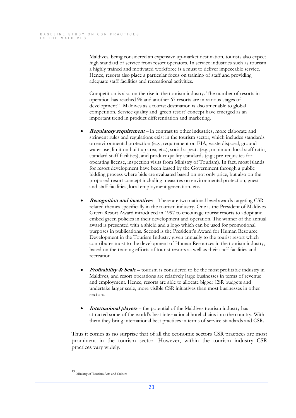Maldives, being considered an expensive up-market destination, tourists also expect high standard of service from resort operators. In service industries such as tourism a highly trained and motivated workforce is a must to deliver impeccable service. Hence, resorts also place a particular focus on training of staff and providing adequate staff facilities and recreational activities.

Competition is also on the rise in the tourism industry. The number of resorts in operation has reached 96 and another 67 resorts are in various stages of development<sup>13</sup>. Maldives as a tourist destination is also amenable to global competition. Service quality and 'green resort' concept have emerged as an important trend in product differentiation and marketing.

- **Regulatory requirement** in contrast to other industries, more elaborate and stringent rules and regulations exist in the tourism sector, which includes standards on environmental protection (e.g.; requirement on EIA, waste disposal, ground water use, limit on built up area, etc.), social aspects (e.g.; minimum local staff ratio, standard staff facilities), and product quality standards (e.g.; pre-requisites for operating license, inspection visits from Ministry of Tourism). In fact, most islands for resort development have been leased by the Government through a public bidding process where bids are evaluated based on not only price, but also on the proposed resort concept including measures on environmental protection, guest and staff facilities, local employment generation, etc.
- **Recognition and incentives** There are two national level awards targeting CSR related themes specifically in the tourism industry. One is the President of Maldives Green Resort Award introduced in 1997 to encourage tourist resorts to adopt and embed green policies in their development and operation. The winner of the annual award is presented with a shield and a logo which can be used for promotional purposes in publications. Second is the President's Award for Human Resource Development in the Tourism Industry given annually to the tourist resort which contributes most to the development of Human Resources in the tourism industry, based on the training efforts of tourist resorts as well as their staff facilities and recreation.
- **• Profitability & Scale** tourism is considered to be the most profitable industry in Maldives, and resort operations are relatively large businesses in terms of revenue and employment. Hence, resorts are able to allocate bigger CSR budgets and undertake larger scale, more visible CSR initiatives than most businesses in other sectors.
- **International players** the potential of the Maldives tourism industry has attracted some of the world's best international hotel chains into the country. With them they bring international best practices in terms of service standards and CSR.

Thus it comes as no surprise that of all the economic sectors CSR practices are most prominent in the tourism sector. However, within the tourism industry CSR practices vary widely.

-

<sup>13</sup> Ministry of Tourism Arts and Culture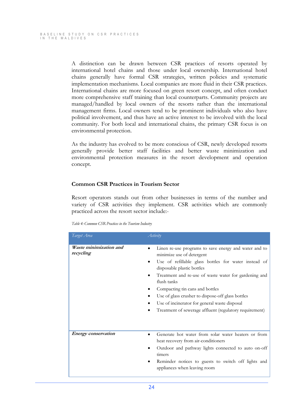A distinction can be drawn between CSR practices of resorts operated by international hotel chains and those under local ownership. International hotel chains generally have formal CSR strategies, written policies and systematic implementation mechanisms. Local companies are more fluid in their CSR practices. International chains are more focused on green resort concept, and often conduct more comprehensive staff training than local counterparts. Community projects are managed/handled by local owners of the resorts rather than the international management firms. Local owners tend to be prominent individuals who also have political involvement, and thus have an active interest to be involved with the local community. For both local and international chains, the primary CSR focus is on environmental protection.

As the industry has evolved to be more conscious of CSR, newly developed resorts generally provide better staff facilities and better waste minimization and environmental protection measures in the resort development and operation concept.

#### **Common CSR Practices in Tourism Sector**

Resort operators stands out from other businesses in terms of the number and variety of CSR activities they implement. CSR activities which are commonly practiced across the resort sector include:-

| Target Area                                | Activity                                                                                                                                                                                                                                                                                                                                                                                                                                             |
|--------------------------------------------|------------------------------------------------------------------------------------------------------------------------------------------------------------------------------------------------------------------------------------------------------------------------------------------------------------------------------------------------------------------------------------------------------------------------------------------------------|
| <b>Waste minimization and</b><br>recycling | Linen re-use programs to save energy and water and to<br>minimize use of detergent<br>Use of refillable glass bottles for water instead of<br>disposable plastic bottles<br>Treatment and re-use of waste water for gardening and<br>flush tanks<br>Compacting tin cans and bottles<br>Use of glass crusher to dispose-off glass bottles<br>Use of incinerator for general waste disposal<br>Treatment of sewerage affluent (regulatory requirement) |
| <b>Energy conservation</b>                 | Generate hot water from solar water heaters or from<br>heat recovery from air-conditioners<br>Outdoor and pathway lights connected to auto on-off<br>timers<br>Reminder notices to guests to switch off lights and<br>appliances when leaving room                                                                                                                                                                                                   |

<span id="page-27-0"></span>*Table 4: Common CSR Practices in the Tourism Industry*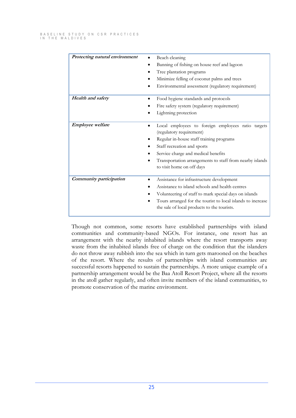## BASELINE STUDY ON CSR PRACTICES<br>IN THE MALDIVES

| Protecting natural environment | Beach cleaning<br>Banning of fishing on house reef and lagoon<br>Tree plantation programs<br>Minimize felling of coconut palms and trees<br>Environmental assessment (regulatory requirement)                                                                                             |
|--------------------------------|-------------------------------------------------------------------------------------------------------------------------------------------------------------------------------------------------------------------------------------------------------------------------------------------|
| Health and safety              | Food hygiene standards and protocols<br>Fire safety system (regulatory requirement)<br>Lightning protection                                                                                                                                                                               |
| <b>Employee</b> welfare        | Local employees to foreign employees ratio targets<br>(regulatory requirement)<br>Regular in-house staff training programs<br>Staff recreation and sports<br>Service charge and medical benefits<br>Transportation arrangements to staff from nearby islands<br>to visit home on off days |
| Community participation        | Assistance for infrastructure development<br>Assistance to island schools and health centres<br>Volunteering of staff to mark special days on islands<br>Tours arranged for the tourist to local islands to increase<br>the sale of local products to the tourists.                       |

Though not common, some resorts have established partnerships with island communities and community-based NGOs. For instance, one resort has an arrangement with the nearby inhabited islands where the resort transports away waste from the inhabited islands free of charge on the condition that the islanders do not throw away rubbish into the sea which in turn gets marooned on the beaches of the resort. Where the results of partnerships with island communities are successful resorts happened to sustain the partnerships. A more unique example of a partnership arrangement would be the Baa Atoll Resort Project, where all the resorts in the atoll gather regularly, and often invite members of the island communities, to promote conservation of the marine environment.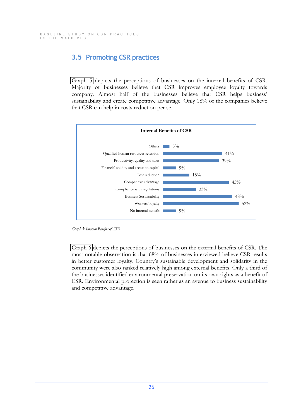## <span id="page-29-0"></span>**3.5 Promoting CSR practices**

[Graph 5](#page-29-1) depicts the perceptions of businesses on the internal benefits of CSR. Majority of businesses believe that CSR improves employee loyalty towards company. Almost half of the businesses believe that CSR helps business· sustainability and create competitive advantage. Only 18% of the companies believe that CSR can help in costs reduction per se.



<span id="page-29-1"></span>*Graph 5: Internal Benefits of CSR*

[Graph 6](#page-30-0) depicts the perceptions of businesses on the external benefits of CSR. The most notable observation is that 68% of businesses interviewed believe CSR results in better customer loyalty. Country's sustainable development and solidarity in the community were also ranked relatively high among external benefits. Only a third of the businesses identified environmental preservation on its own rights as a benefit of CSR. Environmental protection is seen rather as an avenue to business sustainability and competitive advantage.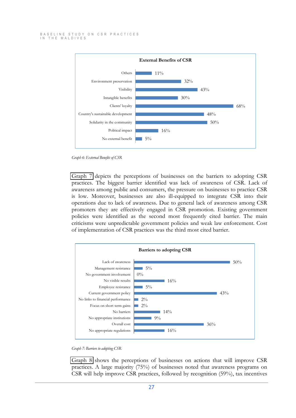## BASELINE STUDY ON CSR PRACTICES<br>IN THE MALDIVES



<span id="page-30-0"></span>*Graph 6: External Benefits of CSR*

[Graph 7](#page-30-1) depicts the perceptions of businesses on the barriers to adopting CSR practices. The biggest barrier identified was lack of awareness of CSR. Lack of awareness among public and consumers, the pressure on businesses to practice CSR is low. Moreover, businesses are also ill-equipped to integrate CSR into their operations due to lack of awareness. Due to general lack of awareness among CSR promoters they are effectively engaged in CSR promotion. Existing government policies were identified as the second most frequently cited barrier. The main criticisms were unpredictable government policies and weak law enforcement. Cost of implementation of CSR practices was the third most cited barrier.



<span id="page-30-1"></span>*Graph 7: Barriers to adopting CSR*

[Graph 8](#page-31-0) shows the perceptions of businesses on actions that will improve CSR practices. A large majority (75%) of businesses noted that awareness programs on CSR will help improve CSR practices, followed by recognition (59%), tax incentives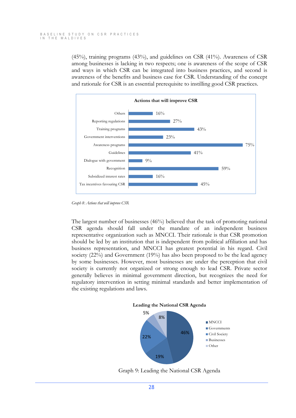(45%), training programs (43%), and guidelines on CSR (41%). Awareness of CSR among businesses is lacking in two respects; one is awareness of the scope of CSR and ways in which CSR can be integrated into business practices, and second is awareness of the benefits and business case for CSR. Understanding of the concept and rationale for CSR is an essential prerequisite to instilling good CSR practices.



<span id="page-31-0"></span>*Graph 8: Actions that will improve CSR*

The largest number of businesses (46%) believed that the task of promoting national CSR agenda should fall under the mandate of an independent business representative organization such as MNCCI. Their rationale is that CSR promotion should be led by an institution that is independent from political affiliation and has business representation, and MNCCI has greatest potential in his regard. Civil society (22%) and Government (19%) has also been proposed to be the lead agency by some businesses. However, most businesses are under the perception that civil society is currently not organized or strong enough to lead CSR. Private sector generally believes in minimal government direction, but recognizes the need for regulatory intervention in setting minimal standards and better implementation of the existing regulations and laws.

<span id="page-31-1"></span>

Graph 9: Leading the National CSR Agenda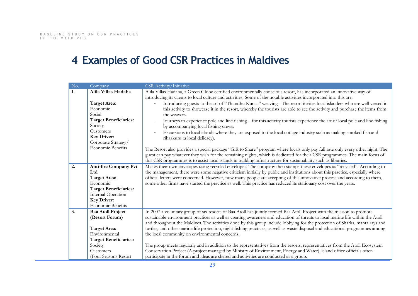## **4 Examples of Good CSR Practices in Maldives**

<span id="page-32-0"></span>

| No. | Company                                                                                                                                     | CSR Activity/Initiative                                                                                                        |
|-----|---------------------------------------------------------------------------------------------------------------------------------------------|--------------------------------------------------------------------------------------------------------------------------------|
| 1.  | Alila Villas Hadaha, a Green Globe certified environmentally conscious resort, has incorporated an innovative way of<br>Alila Villas Hadaha |                                                                                                                                |
|     |                                                                                                                                             | introducing its clients to local culture and activities. Some of the notable activities incorporated into this are:            |
|     | <b>Target Area:</b>                                                                                                                         | Introducing guests to the art of "Thundhu Kunaa" weaving - The resort invites local islanders who are well versed in           |
|     | Economic                                                                                                                                    | this activity to showcase it in the resort, whereby the tourists are able to see the activity and purchase the items from      |
|     | Social                                                                                                                                      | the weavers.                                                                                                                   |
|     | <b>Target Beneficiaries:</b>                                                                                                                | Journeys to experience pole and line fishing - for this activity tourists experience the art of local pole and line fishing    |
|     | Society                                                                                                                                     | by accompanying local fishing crews.                                                                                           |
|     | Customers                                                                                                                                   | Excursions to local islands where they are exposed to the local cottage industry such as making smoked fish and                |
|     | <b>Key Driver:</b>                                                                                                                          | rihaakuru (a local delicacy).                                                                                                  |
|     | Corporate Strategy/                                                                                                                         |                                                                                                                                |
|     | <b>Economic Benefits</b>                                                                                                                    | The Resort also provides a special package "Gift to Share" program where locals only pay full rate only every other night. The |
|     |                                                                                                                                             | guest can pay whatever they wish for the remaining nights, which is dedicated for their CSR programmes. The main focus of      |
|     |                                                                                                                                             | this CSR programmes is to assist local islands in building infrastructure for sustainability such as libraries.                |
| 2.  | <b>Anti-fire Company Pvt</b>                                                                                                                | Makes their own envelopes using recycled envelopes. The company then stamps these envelopes as "recycled". According to        |
|     | Ltd                                                                                                                                         | the management, there were some negative criticism initially by public and institutions about this practice, especially where  |
|     | <b>Target Area:</b>                                                                                                                         | official letters were concerned. However, now many people are accepting of this innovative process and according to them,      |
|     | Economic                                                                                                                                    | some other firms have started the practice as well. This practice has reduced its stationary cost over the years.              |
|     | <b>Target Beneficiaries:</b>                                                                                                                |                                                                                                                                |
|     | Internal Operation                                                                                                                          |                                                                                                                                |
|     | <b>Key Driver:</b>                                                                                                                          |                                                                                                                                |
|     | <b>Economic Benefits</b>                                                                                                                    |                                                                                                                                |
| 3.  | <b>Baa Atoll Project</b>                                                                                                                    | In 2007 a voluntary group of six resorts of Baa Atoll has jointly formed Baa Atoll Project with the mission to promote         |
|     | (Resort Forum)                                                                                                                              | sustainable environment practices as well as creating awareness and education of threats to local marine life within the Atoll |
|     |                                                                                                                                             | and throughout the Maldives. The activities done by this group include lobbying for the protection of Sharks, manta rays and   |
|     | <b>Target Area:</b>                                                                                                                         | turtles, and other marine life protection, night fishing practices, as well as waste disposal and educational programmes among |
|     | Environmental                                                                                                                               | the local community on environmental concerns.                                                                                 |
|     | <b>Target Beneficiaries:</b>                                                                                                                |                                                                                                                                |
|     | Society                                                                                                                                     | The group meets regularly and in addition to the representatives from the resorts, representatives from the Atoll Ecosystem    |
|     | Customers                                                                                                                                   | Conservation Project (A project managed by Ministry of Environment, Energy and Water), island office officials often           |
|     | (Four Seasons Resort                                                                                                                        | participate in the forum and ideas are shared and activities are conducted as a group.                                         |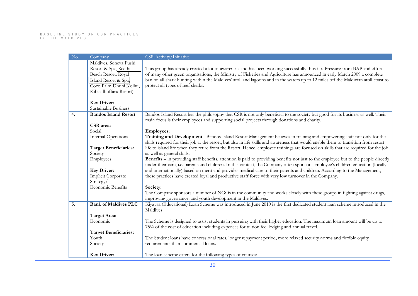#### BASELINE STUDY ON CSR PRACTICES IN THE MALDIVES

| No.              | Company                                        | CSR Activity/Initiative                                                                                                                                                                                                                                                |
|------------------|------------------------------------------------|------------------------------------------------------------------------------------------------------------------------------------------------------------------------------------------------------------------------------------------------------------------------|
|                  | Maldives, Soneva Fushi<br>Resort & Spa, Reethi | This group has already created a lot of awareness and has been working successfully thus far. Pressure from BAP and efforts                                                                                                                                            |
|                  | Beach Resort, Royal                            | of many other green organisations, the Ministry of Fisheries and Agriculture has announced in early March 2009 a complete                                                                                                                                              |
|                  | Island Resort & Spa,                           | ban on all shark hunting within the Maldives' atoll and lagoons and in the waters up to 12 miles off the Maldivian atoll coast to                                                                                                                                      |
|                  | Coco Palm Dhuni Kolhu,                         | protect all types of reef sharks.                                                                                                                                                                                                                                      |
|                  | Kihaadhuffaru Resort)                          |                                                                                                                                                                                                                                                                        |
|                  | <b>Key Driver:</b>                             |                                                                                                                                                                                                                                                                        |
|                  | Sustainable Business                           |                                                                                                                                                                                                                                                                        |
| 4.               | <b>Bandos Island Resort</b>                    | Bandos Island Resort has the philosophy that CSR is not only beneficial to the society but good for its business as well. Their<br>main focus is their employees and supporting social projects through donations and charity.                                         |
|                  | CSR area:                                      |                                                                                                                                                                                                                                                                        |
|                  | Social                                         | <b>Employees:</b>                                                                                                                                                                                                                                                      |
|                  | <b>Internal Operations</b>                     | Training and Development - Bandos Island Resort Management believes in training and empowering staff not only for the<br>skills required for their job at the resort, but also in life skills and awareness that would enable them to transition from resort           |
|                  | <b>Target Beneficiaries:</b>                   | life to island life when they retire from the Resort. Hence, employee trainings are focused on skills that are required for the job                                                                                                                                    |
|                  | Society                                        | as well as general skills.                                                                                                                                                                                                                                             |
|                  | Employees                                      | Benefits – in providing staff benefits, attention is paid to providing benefits not just to the employee but to the people directly<br>under their care, i.e. parents and children. In this context, the Company often sponsors employee's children education (locally |
|                  | <b>Key Driver:</b>                             | and internationally) based on merit and provides medical care to their parents and children. According to the Management,                                                                                                                                              |
|                  | Implicit Corporate                             | these practices have created loyal and productive staff force with very low turnover in the Company.                                                                                                                                                                   |
|                  | Strategy/                                      |                                                                                                                                                                                                                                                                        |
|                  | Economic Benefits                              | Society:                                                                                                                                                                                                                                                               |
|                  |                                                | The Company sponsors a number of NGOs in the community and works closely with these groups in fighting against drugs,<br>improving governance, and youth development in the Maldives.                                                                                  |
| $\overline{5}$ . | <b>Bank of Maldives PLC</b>                    | Kiyavaa (Educational) Loan Scheme was introduced in June 2010 is the first dedicated student loan scheme introduced in the<br>Maldives.                                                                                                                                |
|                  | <b>Target Area:</b>                            |                                                                                                                                                                                                                                                                        |
|                  | Economic                                       | The Scheme is designed to assist students in pursuing with their higher education. The maximum loan amount will be up to                                                                                                                                               |
|                  |                                                | 75% of the cost of education including expenses for tuition fee, lodging and annual travel.                                                                                                                                                                            |
|                  | <b>Target Beneficiaries:</b>                   |                                                                                                                                                                                                                                                                        |
|                  | Youth                                          | The Student loans have concessional rates, longer repayment period, more relaxed security norms and flexible equity                                                                                                                                                    |
|                  | Society                                        | requirements than commercial loans.                                                                                                                                                                                                                                    |
|                  | <b>Key Driver:</b>                             | The loan scheme caters for the following types of courses:                                                                                                                                                                                                             |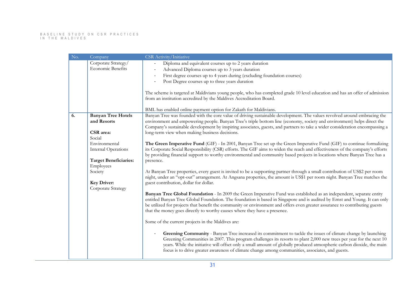#### BASELINE STUDY ON CSR PRACTICES IN THE MALDIVES

| No. | Company                                  | CSR Activity/Initiative                                                                                                                                                                                                                                                                                                                                                                                                                                           |
|-----|------------------------------------------|-------------------------------------------------------------------------------------------------------------------------------------------------------------------------------------------------------------------------------------------------------------------------------------------------------------------------------------------------------------------------------------------------------------------------------------------------------------------|
|     | Corporate Strategy/                      | Diploma and equivalent courses up to 2 years duration<br>$\overline{\phantom{a}}$                                                                                                                                                                                                                                                                                                                                                                                 |
|     | Economic Benefits                        | Advanced Diploma courses up to 3 years duration                                                                                                                                                                                                                                                                                                                                                                                                                   |
|     |                                          | First degree courses up to 4 years during (excluding foundation courses)                                                                                                                                                                                                                                                                                                                                                                                          |
|     |                                          | Post Degree courses up to three years duration                                                                                                                                                                                                                                                                                                                                                                                                                    |
|     |                                          | The scheme is targeted at Maldivians young people, who has completed grade 10 level education and has an offer of admission<br>from an institution accredited by the Maldives Accreditation Board.<br>BML has enabled online payment option for Zakath for Maldivians.                                                                                                                                                                                            |
| 6.  | <b>Banyan Tree Hotels</b><br>and Resorts | Banyan Tree was founded with the core value of driving sustainable development. The values revolved around embracing the<br>environment and empowering people. Banyan Tree's triple bottom line (economy, society and environment) helps direct the<br>Company's sustainable development by inspiring associates, guests, and partners to take a wider consideration encompassing a                                                                               |
|     | CSR area:<br>Social                      | long-term view when making business decisions.                                                                                                                                                                                                                                                                                                                                                                                                                    |
|     | Environmental                            | The Green Imperative Fund (GIF) - In 2001, Banyan Tree set up the Green Imperative Fund (GIF) to continue formalizing                                                                                                                                                                                                                                                                                                                                             |
|     | Internal Operations                      | its Corporate Social Responsibility (CSR) efforts. The GIF aims to widen the reach and effectiveness of the company's efforts<br>by providing financial support to worthy environmental and community based projects in locations where Banyan Tree has a                                                                                                                                                                                                         |
|     | <b>Target Beneficiaries:</b>             | presence.                                                                                                                                                                                                                                                                                                                                                                                                                                                         |
|     | Employees                                |                                                                                                                                                                                                                                                                                                                                                                                                                                                                   |
|     | Society                                  | At Banyan Tree properties, every guest is invited to be a supporting partner through a small contribution of US\$2 per room<br>night, under an "opt-out" arrangement. At Angsana properties, the amount is US\$1 per room night. Banyan Tree matches the                                                                                                                                                                                                          |
|     | <b>Key Driver:</b><br>Corporate Strategy | guest contribution, dollar for dollar.                                                                                                                                                                                                                                                                                                                                                                                                                            |
|     |                                          | Banyan Tree Global Foundation - In 2009 the Green Imperative Fund was established as an independent, separate entity<br>entitled Banyan Tree Global Foundation. The foundation is based in Singapore and is audited by Ernst and Young. It can only<br>be utilized for projects that benefit the community or environment and offers even greater assurance to contributing guests<br>that the money goes directly to worthy causes where they have a presence.   |
|     |                                          | Some of the current projects in the Maldives are:                                                                                                                                                                                                                                                                                                                                                                                                                 |
|     |                                          | Greening Community - Banyan Tree increased its commitment to tackle the issues of climate change by launching<br>Greening Communities in 2007. This program challenges its resorts to plant 2,000 new trees per year for the next 10<br>years. While the initiative will offset only a small amount of globally produced atmospheric carbon dioxide, the main<br>focus is to drive greater awareness of climate change among communities, associates, and guests. |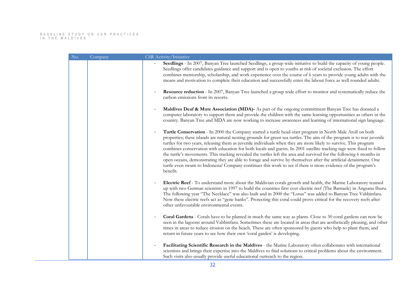#### BASELINE STUDY ON CSR PRACTICES IN THE MALDIVES

| No. | Company | CSR Activity/Initiative                                                                                                                                                                                                                                                                                                                                                                                                                                                                                                                                                                                                                                                                                                                                                                                                                                   |
|-----|---------|-----------------------------------------------------------------------------------------------------------------------------------------------------------------------------------------------------------------------------------------------------------------------------------------------------------------------------------------------------------------------------------------------------------------------------------------------------------------------------------------------------------------------------------------------------------------------------------------------------------------------------------------------------------------------------------------------------------------------------------------------------------------------------------------------------------------------------------------------------------|
|     |         | Seedlings - In 2007, Banyan Tree launched Seedlings, a group wide initiative to build the capacity of young people.<br>Seedlings offer candidates guidance and support and is open to youths at risk of societal exclusion. The effort<br>combines mentorship, scholarship, and work experience over the course of 6 years to provide young adults with the<br>means and motivation to complete their education and successfully enter the labour force as well rounded adults.                                                                                                                                                                                                                                                                                                                                                                           |
|     |         | Resource reduction - In 2007, Banyan Tree launched a group wide effort to monitor and systematically reduce the<br>carbon emissions from its resorts.                                                                                                                                                                                                                                                                                                                                                                                                                                                                                                                                                                                                                                                                                                     |
|     |         | Maldives Deaf & Mute Association (MDA)- As part of the ongoing commitment Banyan Tree has donated a<br>computer laboratory to support them and provide the children with the same learning opportunities as others in the<br>country. Banyan Tree and MDA are now working to increase awareness and learning of international sign language.                                                                                                                                                                                                                                                                                                                                                                                                                                                                                                              |
|     |         | Turtle Conservation - In 2000 the Company started a turtle head-start program in North Male Atoll on both<br>properties; these islands are natural nesting grounds for green sea turtles. The aim of the program is to rear juvenile<br>turtles for two years, releasing them as juvenile individuals when they are more likely to survive. This program<br>combines conservation with education for both locals and guests. In 2001 satellite tracking tags were fixed to follow<br>the turtle's movements. This tracking revealed the turtles left the area and survived for the following 6 months in<br>open oceans, demonstrating they are able to forage and survive by themselves after the artificial detainment. One<br>turtle even swum to Indonesia! Company continues this work to see if there is more evidence of the program's<br>benefit. |
|     |         | Electric Reef - To understand more about the Maldivian corals growth and health, the Marine Laboratory teamed<br>up with two German scientists in 1997 to build the countries first ever electric reef (The Barnacle) in Angsana Ihuru.<br>The following year "The Necklace" was also built and in 2000 the "Lotus" was added to Banyan Tree Vabbinfaru.<br>Now these electric reefs act as "gene banks". Protecting this coral could prove critical for the recovery reefs after<br>other unfavourable environmental events.                                                                                                                                                                                                                                                                                                                             |
|     |         | Coral Gardens - Corals have to be planted in much the same way as plants. Close to 30 coral gardens can now be<br>$\overline{\phantom{a}}$<br>seen in the lagoons around Vabbinfaru. Sometimes these are located in areas that are aesthetically pleasing, and other<br>times in areas to reduce erosion on the beach. These are often sponsored by guests who help to plant them, and<br>return in future years to see how their own 'coral garden' is developing.                                                                                                                                                                                                                                                                                                                                                                                       |
|     |         | Facilitating Scientific Research in the Maldives - the Marine Laboratory often collaborates with international<br>$\overline{\phantom{a}}$<br>scientists and brings their expertise into the Maldives to find solutions to critical problems about the environment.<br>Such visits also usually provide useful educational outreach to the region.                                                                                                                                                                                                                                                                                                                                                                                                                                                                                                        |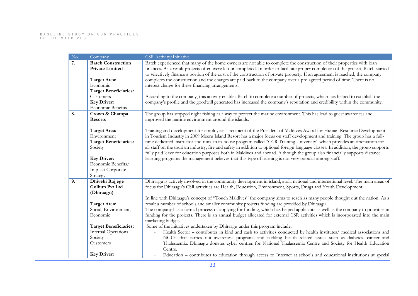| No.              | Company                                             | CSR Activity/Initiative                                                                                                                                                                                                                                      |
|------------------|-----------------------------------------------------|--------------------------------------------------------------------------------------------------------------------------------------------------------------------------------------------------------------------------------------------------------------|
| $\overline{7}$ . | <b>Batch Construction</b><br><b>Private Limited</b> | Batch experienced that many of the home owners are not able to complete the construction of their properties with loan<br>finances. As a result projects often were left uncompleted. In order to facilitate proper completion of the project, Batch started |
|                  |                                                     | to selectively finance a portion of the cost of the construction of private property. If an agreement is reached, the company                                                                                                                                |
|                  | <b>Target Area:</b>                                 | completes the construction and the charges are paid back to the company over a pre-agreed period of time. There is no                                                                                                                                        |
|                  | Economic                                            | interest charge for these financing arrangements.                                                                                                                                                                                                            |
|                  | <b>Target Beneficiaries:</b>                        |                                                                                                                                                                                                                                                              |
|                  | Customers                                           | According to the company, this activity enables Batch to complete a number of projects, which has helped to establish the                                                                                                                                    |
|                  | <b>Key Driver:</b>                                  | company's profile and the goodwill generated has increased the company's reputation and credibility within the community.                                                                                                                                    |
|                  | Economic Benefits                                   |                                                                                                                                                                                                                                                              |
| 8.               | Crown & Champa                                      | The group has stopped night fishing as a way to protect the marine environment. This has lead to guest awareness and                                                                                                                                         |
|                  | <b>Resorts</b>                                      | improved the marine environment around the islands.                                                                                                                                                                                                          |
|                  | <b>Target Area:</b>                                 | Training and development for employees - recipient of the President of Maldives Award for Human Resource Development                                                                                                                                         |
|                  | Environment                                         | in Tourism Industry in 2009 Meeru Island Resort has a major focus on staff development and training. The group has a full-                                                                                                                                   |
|                  | <b>Target Beneficiaries:</b>                        | time dedicated instructor and runs an in-house program called "CCR Training University" which provides an orientation for                                                                                                                                    |
|                  | Society                                             | all staff on the tourism industry, fire and safety in addition to optional foreign language classes. In addition, the group supports                                                                                                                         |
|                  |                                                     | fully paid leave for education purposes both in Maldives and abroad. Although the group also financially supports distance                                                                                                                                   |
|                  | <b>Key Driver:</b>                                  | learning programs the management believes that this type of learning is not very popular among staff.                                                                                                                                                        |
|                  | Economic Benefits/                                  |                                                                                                                                                                                                                                                              |
|                  | Implicit Corporate<br>Strategy                      |                                                                                                                                                                                                                                                              |
| 9.               | <b>Dhivehi Rajjege</b>                              | Dhiraagu is actively involved in the community development in island, atoll, national and international level. The main areas of                                                                                                                             |
|                  | <b>Gulhun Pvt Ltd</b>                               | focus for Dhiraagu's CSR activities are Health, Education, Environment, Sports, Drugs and Youth Development.                                                                                                                                                 |
|                  | (Dhiraagu)                                          |                                                                                                                                                                                                                                                              |
|                  |                                                     | In line with Dhiraagu's concept of "Touch Maldives" the company aims to reach as many people thought out the nation. As a                                                                                                                                    |
|                  | <b>Target Area:</b>                                 | result a number of schools and smaller community projects funding are provided by Dhiraagu.                                                                                                                                                                  |
|                  | Social, Environment,                                | The company has a formal process of applying for funding, which has helped applicants as well as the company to prioritise in                                                                                                                                |
|                  | Economic                                            | funding for the projects. There is an annual budget allocated for external CSR activities which is incorporated into the main                                                                                                                                |
|                  | <b>Target Beneficiaries:</b>                        | marketing budget.<br>Some of the initiatives undertaken by Dhiraagu under this program include:                                                                                                                                                              |
|                  | <b>Internal Operations</b>                          | Health Sector - contributes in kind and cash to activities conducted by health institutes/ medical associations and                                                                                                                                          |
|                  | Society                                             | NGOs that carries out awareness programs and tackling health related issues such as diabetes, cancer and                                                                                                                                                     |
|                  | Customers                                           | Thalesaemia. Dhiraagu donates cyber centres for National Thalassemia Centre and Society for Health Education                                                                                                                                                 |
|                  |                                                     | Centre.                                                                                                                                                                                                                                                      |
|                  | <b>Key Driver:</b>                                  | Education – contributes to education through access to Internet at schools and educational institutions at special<br>$\overline{\phantom{a}}$                                                                                                               |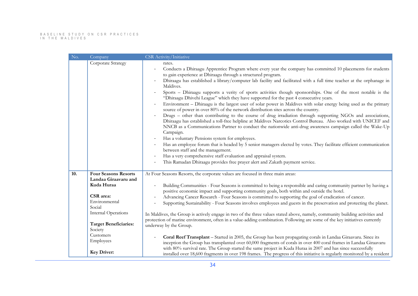| No. | Company                                                                                                                                                                                                                            | CSR Activity/Initiative                                                                                                                                                                                                                                                                                                                                                                                                                                                                                                                                                                                                                                                                                                                                                                                                                                                                                                                                                                                                                                                                                                                                                                                                                                                                                                                                                                                                                                                       |
|-----|------------------------------------------------------------------------------------------------------------------------------------------------------------------------------------------------------------------------------------|-------------------------------------------------------------------------------------------------------------------------------------------------------------------------------------------------------------------------------------------------------------------------------------------------------------------------------------------------------------------------------------------------------------------------------------------------------------------------------------------------------------------------------------------------------------------------------------------------------------------------------------------------------------------------------------------------------------------------------------------------------------------------------------------------------------------------------------------------------------------------------------------------------------------------------------------------------------------------------------------------------------------------------------------------------------------------------------------------------------------------------------------------------------------------------------------------------------------------------------------------------------------------------------------------------------------------------------------------------------------------------------------------------------------------------------------------------------------------------|
|     | Corporate Strategy                                                                                                                                                                                                                 | rates.<br>Conducts a Dhiraagu Apprentice Program where every year the company has committed 10 placements for students<br>to gain experience at Dhiraagu through a structured program.<br>Dhiraagu has established a library/computer lab facility and facilitated with a full time teacher at the orphanage in<br>Maldives.<br>Sports - Dhiraagu supports a verity of sports activities though sponsorships. One of the most notable is the<br>"Dhiraagu Dhivehi League" which they have supported for the past 4 consecutive years.<br>Environment – Dhiraagu is the largest user of solar power in Maldives with solar energy being used as the primary<br>source of power in over 80% of the network distribution sites across the country.<br>Drugs – other than contributing to the course of drug irradiation through supporting NGOs and associations,<br>Dhiraagu has established a toll-free helpline at Maldives Narcotics Control Bureau. Also worked with UNICEF and<br>NNCB as a Communications Partner to conduct the nationwide anti-drug awareness campaign called the Wake-Up<br>Campaign.<br>Has a voluntary Pensions system for employees.<br>Has an employee forum that is headed by 5 senior managers elected by votes. They facilitate efficient communication<br>between staff and the management.<br>Has a very comprehensive staff evaluation and appraisal system.<br>This Ramadan Dhiraagu provides free prayer alert and Zakath payment service. |
| 10. | <b>Four Seasons Resorts</b><br>Landaa Giraavaru and<br>Kuda Huraa<br>CSR area:<br>Environmental<br>Social<br><b>Internal Operations</b><br><b>Target Beneficiaries:</b><br>Society<br>Customers<br>Employees<br><b>Key Driver:</b> | At Four Seasons Resorts, the corporate values are focused in three main areas:<br>Building Communities - Four Seasons is committed to being a responsible and caring community partner by having a<br>positive economic impact and supporting community goals, both within and outside the hotel.<br>Advancing Cancer Research - Four Seasons is committed to supporting the goal of eradication of cancer.<br>Supporting Sustainability - Four Seasons involves employees and guests in the preservation and protecting the planet.<br>In Maldives, the Group is actively engage in two of the three values stated above, namely, community building activities and<br>protection of marine environment, often in a value-adding combination. Following are some of the key initiatives currently<br>underway by the Group.<br>Coral Reef Transplant – Started in 2005, the Group has been propagating corals in Landaa Giraavaru. Since its<br>inception the Group has transplanted over 60,000 fragments of corals in over 400 coral frames in Landaa Giraavaru<br>with 80% survival rate. The Group started the same project in Kuda Huraa in 2007 and has since successfully<br>installed over 18,600 fragments in over 198 frames. The progress of this initiative is regularly monitored by a resident                                                                                                                                                                 |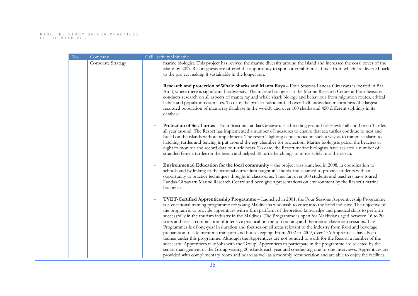| No. | Company            | CSR Activity/Initiative                                                                                                                                                                                                                                                                                                                                                                                                                                                                                                                                                                                                                                                                                                                                                                                                                                                                                                                                                                                                                                                                                                                                                                                                                                                                                           |
|-----|--------------------|-------------------------------------------------------------------------------------------------------------------------------------------------------------------------------------------------------------------------------------------------------------------------------------------------------------------------------------------------------------------------------------------------------------------------------------------------------------------------------------------------------------------------------------------------------------------------------------------------------------------------------------------------------------------------------------------------------------------------------------------------------------------------------------------------------------------------------------------------------------------------------------------------------------------------------------------------------------------------------------------------------------------------------------------------------------------------------------------------------------------------------------------------------------------------------------------------------------------------------------------------------------------------------------------------------------------|
|     | Corporate Strategy | marine biologist. This project has revived the marine diversity around the island and increased the coral cover of the<br>island by 20%. Resort guests are offered the opportunity to sponsor coral frames, funds from which are diverted back<br>to the project making it sustainable in the longer run.                                                                                                                                                                                                                                                                                                                                                                                                                                                                                                                                                                                                                                                                                                                                                                                                                                                                                                                                                                                                         |
|     |                    | Research and protection of Whale Sharks and Manta Rays - Four Seasons Landaa Giraavaru is located in Baa<br>$\overline{\phantom{a}}$<br>Atoll, where there is significant biodiversity. The marine biologists at the Marine Research Center at Four Seasons<br>conducts research on all aspects of manta ray and whale shark biology and behaviour from migration routes, critical<br>habits and population estimates. To date, the project has identified over 1500 individual mantra rays (the largest<br>recorded population of manta ray database in the world), and over 100 sharks and 450 different sightings in its<br>database.                                                                                                                                                                                                                                                                                                                                                                                                                                                                                                                                                                                                                                                                          |
|     |                    | Protection of Sea Turtles - Four Seasons Landaa Giraavaru is a breeding ground for Hawksbill and Green Turtles<br>$\overline{\phantom{a}}$<br>all year around. The Resort has implemented a number of measures to ensure that sea turtles continue to nest and<br>breed on the islands without impediment. The resort's lighting is positioned in such a way as to minimise alarm to<br>hatching turtles and fencing is put around the egg chamber for protection. Marine biologists patrol the beaches at<br>night to monitor and record data on turtle nests. To date, the Resort marine biologists have assisted a number of<br>stranded female turtles on the beach and helped 80 turtle hatchlings to move safely into the ocean.                                                                                                                                                                                                                                                                                                                                                                                                                                                                                                                                                                            |
|     |                    | Environmental Education for the local community – the project was launched in 2008, in coordination to<br>$\overline{\phantom{a}}$<br>schools and by linking to the national curriculum taught in schools and is aimed to provide students with an<br>opportunity to practice techniques thought in classrooms. Thus far, over 300 students and teachers have toured<br>Landaa Giraavaru Marine Research Centre and been given presentations on environment by the Resort's marine<br>biologists.                                                                                                                                                                                                                                                                                                                                                                                                                                                                                                                                                                                                                                                                                                                                                                                                                 |
|     |                    | <b>TVET-Certified Apprenticeship Programme</b> – Launched in 2001, the Four Seasons Apprenticeship Programme<br>is a vocational training programme for young Maldivians who wish to enter into the hotel industry. The objective of<br>the program is to provide apprentices with a firm platform of theoretical knowledge and practical skills to perform<br>successfully in the tourism industry in the Maldives. The Programme is open for Maldivians aged between 16 to 20<br>years and uses a combination of intensive practical on-the-job training and theoretical classroom sessions. The<br>Programmes is of one-year in duration and focuses on all areas relevant to the industry from food and beverage<br>preparation to safe maritime transport and housekeeping. From 2002 to 2009, over 156 Apprentices have been<br>trainee under this programme. Although the Apprentices are not bonded to work for the Resort, a number of the<br>successful Apprentices take jobs with the Group. Apprentices to participate in the programme are selected by the<br>senior management of the Group visiting 20 islands each year and conducting one-to-one interviews. Apprentices are<br>provided with complimentary room and board as well as a monthly remuneration and are able to enjoy the facilities |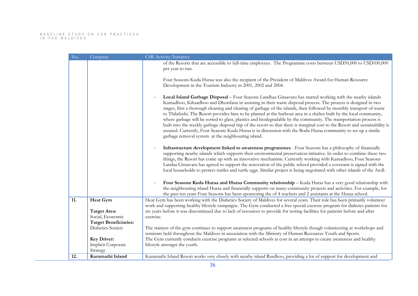| No. | Company                      | CSR Activity/Initiative                                                                                                                                                                                                                                                                                                                                                                                                                                                                                                                                                                                                                                                                                                                                                                                                                                                                                  |
|-----|------------------------------|----------------------------------------------------------------------------------------------------------------------------------------------------------------------------------------------------------------------------------------------------------------------------------------------------------------------------------------------------------------------------------------------------------------------------------------------------------------------------------------------------------------------------------------------------------------------------------------------------------------------------------------------------------------------------------------------------------------------------------------------------------------------------------------------------------------------------------------------------------------------------------------------------------|
|     |                              | of the Resorts that are accessible to full-time employees. The Programme costs between USD50,000 to USD100,000<br>per year to run.                                                                                                                                                                                                                                                                                                                                                                                                                                                                                                                                                                                                                                                                                                                                                                       |
|     |                              | Four Seasons Kuda Huraa was also the recipient of the President of Maldives Award for Human Resource<br>Development in the Tourism Industry in 2001, 2002 and 2004.                                                                                                                                                                                                                                                                                                                                                                                                                                                                                                                                                                                                                                                                                                                                      |
|     |                              | Local Island Garbage Disposal - Four Seasons Landhaa Giraavaru has started working with the nearby islands<br>Kamadhoo, Kihaadhoo and Dhonfanu in assisting in their waste disposal process. The process is designed in two<br>stages, first a thorough cleaning and clearing of garbage of the islands, then followed by monthly transport of waste<br>to Thilafushi. The Resort provides bins to be planted at the harbour area in a shelter built by the local community,<br>where garbage will be sorted to glass, plastics and biodegradable by the community. The transportation process is<br>built into the weekly garbage disposal trip of the resort so that there is marginal cost to the Resort and sustainability is<br>assured. Currently, Four Seasons Kuda Huraa is in discussion with the Bodu Huraa community to set up a simila<br>garbage removal system at the neighbouring island. |
|     |                              | Infrastructure development linked to awareness programmes - Four Seasons has a philosophy of financially<br>supporting nearby islands which supports their environmental preservation initiative. In order to combine these two<br>things, the Resort has come up with an innovative mechanism. Currently working with Kamadhoo, Four Seasons<br>Landaa Giraavaru has agreed to support the renovation of the public school provided a covenant is signed with the<br>local households to protect turtles and turtle eggs. Similar project is being negotiated with other islands of the Atoll.                                                                                                                                                                                                                                                                                                          |
|     |                              | Four Seasons Kuda Huraa and Huraa Community relationship - Kuda Huras has a very good relationship with<br>the neighbouring island Huraa and financially supports on many community projects and activities. For example, for<br>the past ten years Four Seasons has been sponsoring the of 4 teachers and 2 assistants at the Huraa school.                                                                                                                                                                                                                                                                                                                                                                                                                                                                                                                                                             |
| 11. | Heat Gym                     | Heat Gym has been working with the Diabetics Society of Maldives for several years. Their role has been primarily volunteer<br>work and supporting healthy lifestyle campaigns. The Gym conducted a free special exercise program for diabetes patients for                                                                                                                                                                                                                                                                                                                                                                                                                                                                                                                                                                                                                                              |
|     | <b>Target Area:</b>          | six years before it was discontinued due to lack of resources to provide for testing facilities for patients before and after                                                                                                                                                                                                                                                                                                                                                                                                                                                                                                                                                                                                                                                                                                                                                                            |
|     | Social, Economic             | exercise.                                                                                                                                                                                                                                                                                                                                                                                                                                                                                                                                                                                                                                                                                                                                                                                                                                                                                                |
|     | <b>Target Beneficiaries:</b> |                                                                                                                                                                                                                                                                                                                                                                                                                                                                                                                                                                                                                                                                                                                                                                                                                                                                                                          |
|     | Diabetics Society            | The trainers of the gym continues to support awareness programs of healthy lifestyle though volunteering at workshops and<br>seminars held throughout the Maldives in association with the Ministry of Human Resources Youth and Sports.                                                                                                                                                                                                                                                                                                                                                                                                                                                                                                                                                                                                                                                                 |
|     | <b>Key Driver:</b>           | The Gym currently conducts exercise programs at selected schools at cost in an attempt to create awareness and healthy                                                                                                                                                                                                                                                                                                                                                                                                                                                                                                                                                                                                                                                                                                                                                                                   |
|     | Implicit Corporate           | lifestyle amongst the youth.                                                                                                                                                                                                                                                                                                                                                                                                                                                                                                                                                                                                                                                                                                                                                                                                                                                                             |
|     | Strategy                     |                                                                                                                                                                                                                                                                                                                                                                                                                                                                                                                                                                                                                                                                                                                                                                                                                                                                                                          |
| 12. | Kuramathi Island             | Kuramathi Island Resort works very closely with nearby island Rasdhoo, providing a lot of support for development and                                                                                                                                                                                                                                                                                                                                                                                                                                                                                                                                                                                                                                                                                                                                                                                    |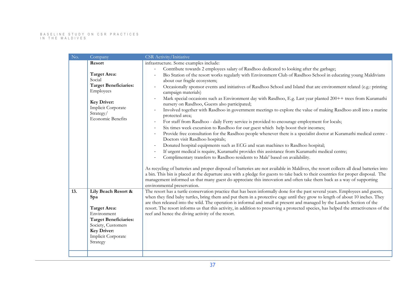| No. | Company                                                                                                                                                                        | CSR Activity/Initiative                                                                                                                                                                                                                                                                                                                                                                                                                                                                                                                                                                                                                                                                                                                                                                                                                                                                                                                                                                                                                                                                                                                                                                                                                                                                                                                                                                                                                                                                                                                                                                                                                                                                                                           |
|-----|--------------------------------------------------------------------------------------------------------------------------------------------------------------------------------|-----------------------------------------------------------------------------------------------------------------------------------------------------------------------------------------------------------------------------------------------------------------------------------------------------------------------------------------------------------------------------------------------------------------------------------------------------------------------------------------------------------------------------------------------------------------------------------------------------------------------------------------------------------------------------------------------------------------------------------------------------------------------------------------------------------------------------------------------------------------------------------------------------------------------------------------------------------------------------------------------------------------------------------------------------------------------------------------------------------------------------------------------------------------------------------------------------------------------------------------------------------------------------------------------------------------------------------------------------------------------------------------------------------------------------------------------------------------------------------------------------------------------------------------------------------------------------------------------------------------------------------------------------------------------------------------------------------------------------------|
|     | Resort                                                                                                                                                                         | infrastructure. Some examples include:                                                                                                                                                                                                                                                                                                                                                                                                                                                                                                                                                                                                                                                                                                                                                                                                                                                                                                                                                                                                                                                                                                                                                                                                                                                                                                                                                                                                                                                                                                                                                                                                                                                                                            |
|     | <b>Target Area:</b><br>Social<br><b>Target Beneficiaries:</b><br>Employees<br><b>Key Driver:</b><br>Implicit Corporate<br>Strategy/<br>Economic Benefits                       | Contribute towards 2 employees salary of Rasdhoo dedicated to looking after the garbage;<br>Bio Station of the resort works regularly with Environment Club of Rasdhoo School in educating young Maldivians<br>about our fragile ecosystem;<br>Occasionally sponsor events and initiatives of Rasdhoo School and Island that are environment related (e.g.: printing<br>campaign materials)<br>Mark special occasions such as Environment day with Rasdhoo, E.g. Last year planted 200++ trees from Kuramathi<br>nursery on Rasdhoo, Guests also participated;<br>Involved together with Rasdhoo in government meetings to explore the value of making Rasdhoo atoll into a marine<br>protected area;<br>For staff from Rasdhoo - daily Ferry service is provided to encourage employment for locals;<br>Six times week excursion to Rasdhoo for our guest which help boost their incomes;<br>Provide free consultation for the Rasdhoo people whenever there is a specialist doctor at Kuramathi medical centre -<br>Doctors visit Rasdhoo hospitals;<br>Donated hospital equipments such as ECG and scan machines to Rasdhoo hospital;<br>If urgent medical is require, Kuramathi provides this assistance from Kuramathi medical centre;<br>Complimentary transfers to Rasdhoo residents to Male' based on availability.<br>As recycling of batteries and proper disposal of batteries are not available in Maldives, the resort collects all dead batteries into<br>a bin. This bin is placed at the departure area with a pledge for guests to take back to their countries for proper disposal. The<br>management informed us that many guest do appreciate this innovation and often take them back as a way of supporting |
|     |                                                                                                                                                                                | environmental preservation.                                                                                                                                                                                                                                                                                                                                                                                                                                                                                                                                                                                                                                                                                                                                                                                                                                                                                                                                                                                                                                                                                                                                                                                                                                                                                                                                                                                                                                                                                                                                                                                                                                                                                                       |
| 13. | Lily Beach Resort &<br>Spa<br><b>Target Area:</b><br>Environment<br><b>Target Beneficiaries:</b><br>Society, Customers<br><b>Key Driver:</b><br>Implicit Corporate<br>Strategy | The resort has a turtle conservation practice that has been informally done for the past several years. Employees and guests,<br>when they find baby turtles, bring them and put them in a protective cage until they grow to length of about 10 inches. They<br>are then released into the wild. The operation is informal and small at present and managed by the Launch Section of the<br>resort. The resort informs us that this activity, in addition to preserving a protected species, has helped the attractiveness of the<br>reef and hence the diving activity of the resort.                                                                                                                                                                                                                                                                                                                                                                                                                                                                                                                                                                                                                                                                                                                                                                                                                                                                                                                                                                                                                                                                                                                                           |
|     |                                                                                                                                                                                |                                                                                                                                                                                                                                                                                                                                                                                                                                                                                                                                                                                                                                                                                                                                                                                                                                                                                                                                                                                                                                                                                                                                                                                                                                                                                                                                                                                                                                                                                                                                                                                                                                                                                                                                   |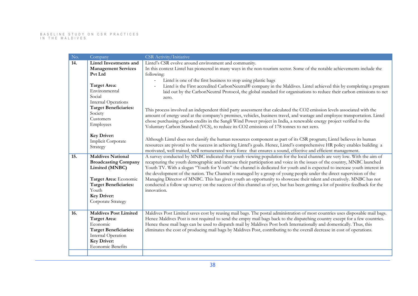| $\mathrm{No}.$    | Company                                                                                                                                                          | CSR Activity/Initiative                                                                                                                                                                                                                                                                                                                                                                                                                                                                                           |
|-------------------|------------------------------------------------------------------------------------------------------------------------------------------------------------------|-------------------------------------------------------------------------------------------------------------------------------------------------------------------------------------------------------------------------------------------------------------------------------------------------------------------------------------------------------------------------------------------------------------------------------------------------------------------------------------------------------------------|
| $\overline{14}$ . | <b>Lintel Investments and</b><br><b>Management Services</b><br>Pvt Ltd                                                                                           | Lintel's CSR evolve around environment and community.<br>In this context Lintel has pioneered in many ways in the non-tourism sector. Some of the notable achievements include the<br>following:<br>Lintel is one of the first business to stop using plastic bags<br>$\overline{\phantom{a}}$                                                                                                                                                                                                                    |
|                   | <b>Target Area:</b><br>Environmental<br>Social<br>Internal Operations                                                                                            | Lintel is the First accredited CarbonNeutral® company in the Maldives. Lintel achieved this by completing a program<br>laid out by the CarbonNeutral Protocol, the global standard for organisations to reduce their carbon emissions to net<br>zero.                                                                                                                                                                                                                                                             |
|                   | <b>Target Beneficiaries:</b><br>Society<br>Customers<br>Employees                                                                                                | This process involved an independent third party assessment that calculated the CO2 emission levels associated with the<br>amount of energy used at the company's premises, vehicles, business travel, and wastage and employee transportation. Lintel<br>chose purchasing carbon credits in the Sangli Wind Power project in India, a renewable energy project verified to the<br>Voluntary Carbon Standard (VCS), to reduce its CO2 emissions of 178 tonnes to net zero.                                        |
|                   | <b>Key Driver:</b><br>Implicit Corporate<br>Strategy                                                                                                             | Although Lintel does not classify the human resources component as part of its CSR program; Lintel believes its human<br>resources are pivotal to the success in achieving Lintel's goals. Hence, Lintel's comprehensive HR policy enables building a<br>motivated, well trained, well remunerated work force that ensures a sound, effective and efficient management.                                                                                                                                           |
| 15.               | <b>Maldives National</b><br><b>Broadcasting Company</b><br>Limited (MNBC)                                                                                        | A survey conducted by MNBC indicated that youth viewing population for the local channels are very low. With the aim of<br>recapturing the youth demographic and increase their participation and voice in the issues of the country, MNBC launched<br>Youth TV. With a slogan "Youth for Youth" the channel is dedicated for youth and is expected to increase youth interest in<br>the development of the nation. The Channel is managed by a group of young people under the direct supervision of the         |
|                   | Target Area: Economic<br><b>Target Beneficiaries:</b><br>Youth<br><b>Key Driver:</b><br>Corporate Strategy                                                       | Managing Director of MNBC. This has given youth an opportunity to showcase their talent and creatively. MNBC has not<br>conducted a follow up survey on the success of this channel as of yet, but has been getting a lot of positive feedback for the<br>innovation.                                                                                                                                                                                                                                             |
| 16.               | <b>Maldives Post Limited</b><br><b>Target Area:</b><br>Economic<br><b>Target Beneficiaries:</b><br>Internal Operation<br><b>Key Driver:</b><br>Economic Benefits | Maldives Post Limited saves cost by reusing mail bags. The postal administration of most countries uses disposable mail bags.<br>Hence Maldives Post is not required to send the empty mail bags back to the dispatching country except for a few countries.<br>Hence these mail bags can be used to dispatch mail by Maldives Post both Internationally and domestically. Thus, this<br>eliminates the cost of producing mail bags by Maldives Post, contributing to the overall decrease in cost of operations. |
|                   |                                                                                                                                                                  |                                                                                                                                                                                                                                                                                                                                                                                                                                                                                                                   |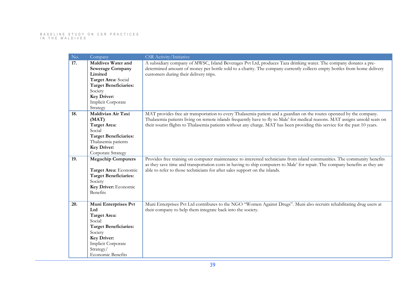| No. | Company                                                                                                                                                                                   | <b>CSR</b> Activity/Initiative                                                                                                                                                                                                                                                                                                                                                         |
|-----|-------------------------------------------------------------------------------------------------------------------------------------------------------------------------------------------|----------------------------------------------------------------------------------------------------------------------------------------------------------------------------------------------------------------------------------------------------------------------------------------------------------------------------------------------------------------------------------------|
| 17. | <b>Maldives Water and</b><br><b>Sewerage Company</b><br>Limited<br>Target Area: Social<br><b>Target Beneficiaries:</b><br>Society<br><b>Key Driver:</b><br>Implicit Corporate<br>Strategy | A subsidiary company of MWSC, Island Beverages Pvt Ltd, produces Taza drinking water. The company donates a pre-<br>determined amount of money per bottle sold to a charity. The company currently collects empty bottles from home delivery<br>customers during their delivery trips.                                                                                                 |
| 18. | Maldivian Air Taxi<br>(MAT)<br><b>Target Area:</b><br>Social<br><b>Target Beneficiaries:</b><br>Thalasemia patients<br><b>Key Driver:</b><br>Corporate Strategy                           | MAT provides free air transportation to every Thalasemia patient and a guardian on the routes operated by the company.<br>Thalasemia patients living on remote islands frequently have to fly to Male' for medical reasons. MAT assigns unsold seats on<br>their tourist flights to Thalasemia patients without any charge. MAT has been providing this service for the past 10 years. |
| 19. | <b>Megachip Computers</b><br>Target Area: Economic<br><b>Target Beneficiaries:</b><br>Society<br>Key Driver: Economic<br><b>Benefits</b>                                                  | Provides free training on computer maintenance to interested technicians from island communities. The community benefits<br>as they save time and transportation costs in having to ship computers to Male' for repair. The company benefits as they are<br>able to refer to those technicians for after sales support on the islands.                                                 |
| 20. | Muni Enterprises Pvt<br>Ltd<br><b>Target Area:</b><br>Social<br><b>Target Beneficiaries:</b><br>Society<br><b>Key Driver:</b><br>Implicit Corporate<br>Strategy/<br>Economic Benefits     | Muni Enterprises Pvt Ltd contributes to the NGO "Women Against Drugs". Muni also recruits rehabilitating drug users at<br>their company to help them integrate back into the society.                                                                                                                                                                                                  |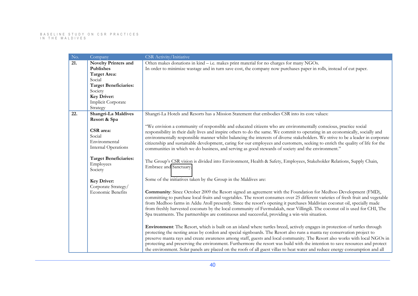| No.               | Company                                                                                                                                                                             | CSR Activity/Initiative                                                                                                                                                                                                                                                                                                                                                                                                                                                                                                                                                                                                                               |
|-------------------|-------------------------------------------------------------------------------------------------------------------------------------------------------------------------------------|-------------------------------------------------------------------------------------------------------------------------------------------------------------------------------------------------------------------------------------------------------------------------------------------------------------------------------------------------------------------------------------------------------------------------------------------------------------------------------------------------------------------------------------------------------------------------------------------------------------------------------------------------------|
| $\overline{21}$ . | <b>Novelty Printers and</b><br><b>Publishes</b><br><b>Target Area:</b><br>Social<br><b>Target Beneficiaries:</b><br>Society<br><b>Key Driver:</b><br>Implicit Corporate<br>Strategy | Often makes donations in $\text{kind} - \text{i.e.}$ makes print material for no charges for many NGOs.<br>In order to minimize wastage and in turn save cost, the company now purchases paper in rolls, instead of cut paper.                                                                                                                                                                                                                                                                                                                                                                                                                        |
| 22.               | Shangri-La Maldives                                                                                                                                                                 | Shangri-La Hotels and Resorts has a Mission Statement that embodies CSR into its core values:                                                                                                                                                                                                                                                                                                                                                                                                                                                                                                                                                         |
|                   | Resort & Spa                                                                                                                                                                        | "We envision a community of responsible and educated citizens who are environmentally conscious, practice social                                                                                                                                                                                                                                                                                                                                                                                                                                                                                                                                      |
|                   | CSR area:<br>Social<br>Environmental<br>Internal Operations                                                                                                                         | responsibility in their daily lives and inspire others to do the same. We commit to operating in an economically, socially and<br>environmentally responsible manner whilst balancing the interests of diverse stakeholders. We strive to be a leader in corporate<br>citizenship and sustainable development, caring for our employees and customers, seeking to enrich the quality of life for the<br>communities in which we do business, and serving as good stewards of society and the environment."                                                                                                                                            |
|                   | <b>Target Beneficiaries:</b><br>Employees<br>Society                                                                                                                                | The Group's CSR vision is divided into Environment, Health & Safety, Employees, Stakeholder Relations, Supply Chain,<br>Embrace and Sanctuary.                                                                                                                                                                                                                                                                                                                                                                                                                                                                                                        |
|                   | <b>Key Driver:</b>                                                                                                                                                                  | Some of the initiatives taken by the Group in the Maldives are:                                                                                                                                                                                                                                                                                                                                                                                                                                                                                                                                                                                       |
|                   | Corporate Strategy/<br><b>Economic Benefits</b>                                                                                                                                     | <b>Community:</b> Since October 2009 the Resort signed an agreement with the Foundation for Medhoo Development (FMD),<br>committing to purchase local fruits and vegetables. The resort consumes over 25 different varieties of fresh fruit and vegetable<br>from Medhoo farms in Addu Atoll presently. Since the resort's opening it purchases Maldivian coconut oil, specially made<br>from freshly harvested coconuts by the local community of Fuvmulakah, near Villingili. The coconut oil is used for CHI, The<br>Spa treatments. The partnerships are continuous and successful, providing a win-win situation.                                |
|                   |                                                                                                                                                                                     | Environment: The Resort, which is built on an island where turtles breed, actively engages in protection of turtles through<br>protecting the nesting areas by cordon and special signboards. The Resort also runs a manta ray conservation project to<br>preserve manta rays and create awareness among staff, guests and local community. The Resort also works with local NGOs in<br>protecting and preserving the environment. Furthermore the resort was build with the intention to save resources and protect<br>the environment. Solar panels are placed on the roofs of all guest villas to heat water and reduce energy consumption and all |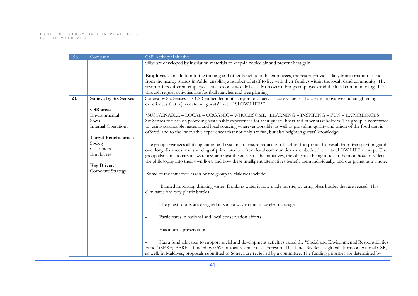| No. | Company                                                                                 | CSR Activity/Initiative                                                                                                                                                                                                                                                                                                                                                                                                                                                                                                                                                                         |
|-----|-----------------------------------------------------------------------------------------|-------------------------------------------------------------------------------------------------------------------------------------------------------------------------------------------------------------------------------------------------------------------------------------------------------------------------------------------------------------------------------------------------------------------------------------------------------------------------------------------------------------------------------------------------------------------------------------------------|
|     |                                                                                         | villas are enveloped by insulation materials to keep-in cooled air and prevent heat gain.                                                                                                                                                                                                                                                                                                                                                                                                                                                                                                       |
| 23. | Soneva by Six Senses                                                                    | Employees: In addition to the training and other benefits to the employees, the resort provides daily transportation to and<br>from the nearby islands in Addu, enabling a number of staff to live with their families within the local island community. The<br>resort offers different employee activities on a weekly basis. Moreover it brings employees and the local community together<br>through regular activities like football matches and tree planting.<br>Soneva by Six Senses has CSR embedded in its corporate values. Its core value is "To create innovative and enlightening |
|     |                                                                                         | experiences that rejuvenate our guests' love of SLOW LIFE*"                                                                                                                                                                                                                                                                                                                                                                                                                                                                                                                                     |
|     | CSR area:<br>Environmental<br>Social<br><b>Internal Operations</b>                      | *SUSTAINABLE - LOCAL - ORGANIC - WHOLESOME LEARNING - INSPIRING - FUN - EXPERIENCES<br>Six Senses focuses on providing sustainable experiences for their guests, hosts and other stakeholders. The group is committed<br>to using sustainable material and local sourcing wherever possible, as well as providing quality and origin of the food that is<br>offered, and to the innovative experiences that not only are fun, but also heighten guests' knowledge.                                                                                                                              |
|     | <b>Target Beneficiaries:</b><br>Society<br>Customers<br>Employees<br><b>Key Driver:</b> | The group organizes all its operation and systems to ensure reduction of carbon footprints that result from transporting goods<br>over long distances, and sourcing of prime produce from local communities are embedded it to its SLOW LIFE concept. The<br>group also aims to create awareness amongst the guests of the initiatives, the objective being to teach them on how to reflect<br>the philosophy into their own lives, and how these intelligent alternatives benefit them individually, and our planet as a whole.                                                                |
|     | Corporate Strategy                                                                      | Some of the initiatives taken by the group in Maldives include:                                                                                                                                                                                                                                                                                                                                                                                                                                                                                                                                 |
|     |                                                                                         | Banned importing drinking water. Drinking water is now made on site, by using glass bottles that are reused. This<br>eliminates one way plastic bottles.                                                                                                                                                                                                                                                                                                                                                                                                                                        |
|     |                                                                                         | The guest rooms are designed in such a way to minimize electric usage.                                                                                                                                                                                                                                                                                                                                                                                                                                                                                                                          |
|     |                                                                                         | Participates in national and local conservation efforts                                                                                                                                                                                                                                                                                                                                                                                                                                                                                                                                         |
|     |                                                                                         | Has a turtle preservation<br>$\sim$                                                                                                                                                                                                                                                                                                                                                                                                                                                                                                                                                             |
|     |                                                                                         | Has a fund allocated to support social and development activities called the "Social and Environmental Responsibilities<br>Fund" (SERF). SERF is funded by 0.5% of total revenue of each resort. This funds Six Senses global efforts on external CSR,<br>as well. In Maldives, proposals submitted to Soneva are reviewed by a committee. The funding priorities are determined by                                                                                                                                                                                                             |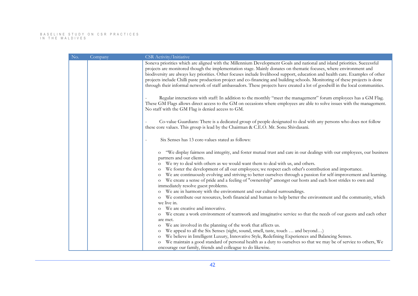| No. | Company | CSR Activity/Initiative                                                                                                                                                                                                                                                                                                                                                                                                                                                                                                                                                                                                                              |
|-----|---------|------------------------------------------------------------------------------------------------------------------------------------------------------------------------------------------------------------------------------------------------------------------------------------------------------------------------------------------------------------------------------------------------------------------------------------------------------------------------------------------------------------------------------------------------------------------------------------------------------------------------------------------------------|
|     |         | Soneva priorities which are aligned with the Millennium Development Goals and national and island priorities. Successful<br>projects are monitored though the implementation stage. Mainly donates on thematic focuses, where environment and<br>biodiversity are always key priorities. Other focuses include livelihood support, education and health care. Examples of other<br>projects include Chilli paste production project and co-financing and building schools. Monitoring of these projects is done<br>through their informal network of staff ambassadors. These projects have created a lot of goodwill in the local communities.      |
|     |         | Regular interactions with staff: In addition to the monthly "meet the management" forum employees has a GM Flag.<br>These GM Flags allows direct access to the GM on occasions where employees are able to solve issues with the management.<br>No staff with the GM Flag is denied access to GM.                                                                                                                                                                                                                                                                                                                                                    |
|     |         | Co-value Guardians: There is a dedicated group of people designated to deal with any persons who does not follow<br>these core values. This group is lead by the Chairman & C.E.O. Mr. Sonu Shivdasani.                                                                                                                                                                                                                                                                                                                                                                                                                                              |
|     |         | Six Senses has 13 core-values stated as follows:                                                                                                                                                                                                                                                                                                                                                                                                                                                                                                                                                                                                     |
|     |         | "We display fairness and integrity, and foster mutual trust and care in our dealings with our employees, our business<br>$\rm ^o$<br>partners and our clients.<br>We try to deal with others as we would want them to deal with us, and others.<br>$\mathcal{O}$<br>We foster the development of all our employees; we respect each other's contribution and importance.<br>$\circ$<br>We are continuously evolving and striving to better ourselves through a passion for self-improvement and learning.<br>$\rm{O}$<br>We create a sense of pride and a feeling of "ownership" amongst our hosts and each host strides to own and<br>$\mathcal{O}$ |
|     |         | immediately resolve guest problems.<br>We are in harmony with the environment and our cultural surroundings.<br>$\circ$<br>We contribute our resources, both financial and human to help better the environment and the community, which<br>$\circ$                                                                                                                                                                                                                                                                                                                                                                                                  |
|     |         | we live in.<br>We are creative and innovative.<br>We create a work environment of teamwork and imaginative service so that the needs of our guests and each other<br>$\circ$                                                                                                                                                                                                                                                                                                                                                                                                                                                                         |
|     |         | are met.<br>We are involved in the planning of the work that affects us.<br>$\circ$<br>We appeal to all the Six Senses (sight, sound, smell, taste, touch  and beyond)<br>$\circ$                                                                                                                                                                                                                                                                                                                                                                                                                                                                    |
|     |         | We believe in Intelligent Luxury, Innovative Style, Redefining Experiences and Balancing Senses.<br>$\circ$<br>We maintain a good standard of personal health as a duty to ourselves so that we may be of service to others, We<br>$\rm{O}$<br>encourage our family, friends and colleague to do likewise.                                                                                                                                                                                                                                                                                                                                           |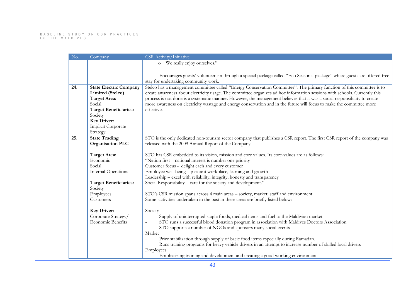| No. | Company                       | CSR Activity/Initiative                                                                                                    |
|-----|-------------------------------|----------------------------------------------------------------------------------------------------------------------------|
|     |                               | o We really enjoy ourselves."                                                                                              |
|     |                               |                                                                                                                            |
|     |                               | Encourages guests' volunteerism through a special package called "Eco Seasons package" where guests are offered free       |
|     |                               | stay for undertaking community work.                                                                                       |
| 24. | <b>State Electric Company</b> | Stelco has a management committee called "Energy Conservation Committee". The primary function of this committee is to     |
|     | Limited (Stelco)              | create awareness about electricity usage. The committee organizes ad hoc information sessions with schools. Currently this |
|     | <b>Target Area:</b>           | process is not done is a systematic manner. However, the management believes that it was a social responsibility to create |
|     | Social                        | more awareness on electricity wastage and energy conservation and in the future will focus to make the committee more      |
|     | <b>Target Beneficiaries:</b>  | effective.                                                                                                                 |
|     | Society                       |                                                                                                                            |
|     | <b>Key Driver:</b>            |                                                                                                                            |
|     | Implicit Corporate            |                                                                                                                            |
|     | Strategy                      |                                                                                                                            |
| 25. | <b>State Trading</b>          | STO is the only dedicated non-tourism sector company that publishes a CSR report. The first CSR report of the company was  |
|     | <b>Organisation PLC</b>       | released with the 2009 Annual Report of the Company.                                                                       |
|     | <b>Target Area:</b>           | STO has CSR embedded to its vision, mission and core values. Its core-values are as follows:                               |
|     | Economic                      | "Nation first – national interest is number one priority                                                                   |
|     | Social                        | Customer focus - delight each and every customer                                                                           |
|     | Internal Operations           | Employee well-being - pleasant workplace, learning and growth                                                              |
|     |                               | Leadership - excel with reliability, integrity, honesty and transparency                                                   |
|     | <b>Target Beneficiaries:</b>  | Social Responsibility – care for the society and development."                                                             |
|     | Society                       |                                                                                                                            |
|     | Employees                     | STO's CSR mission spans across 4 main areas - society, market, staff and environment.                                      |
|     | Customers                     | Some activities undertaken in the past in these areas are briefly listed below:                                            |
|     | <b>Key Driver:</b>            | Society                                                                                                                    |
|     | Corporate Strategy/           | Supply of uninterrupted staple foods, medical items and fuel to the Maldivian market.                                      |
|     | <b>Economic Benefits</b>      | STO runs a successful blood donation program in association with Maldives Doctors Association                              |
|     |                               | STO supports a number of NGOs and sponsors many social events                                                              |
|     |                               | Market                                                                                                                     |
|     |                               | Price stabilization through supply of basic food items especially during Ramadan.                                          |
|     |                               | Runs training programs for heavy vehicle drivers in an attempt to increase number of skilled local drivers                 |
|     |                               | Employees                                                                                                                  |
|     |                               | Emphasizing training and development and creating a good working environment                                               |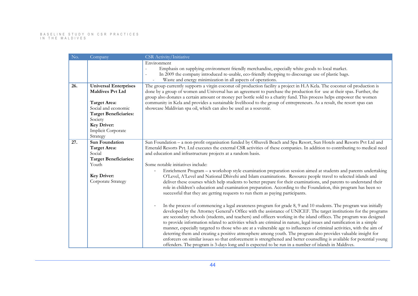| No. | Company                                                                                                                                                                                                  | CSR Activity/Initiative                                                                                                                                                                                                                                                                                                                                                                                                                                                                                                                                                                                                                                                                                                                                                                                                                                                                                                                                            |
|-----|----------------------------------------------------------------------------------------------------------------------------------------------------------------------------------------------------------|--------------------------------------------------------------------------------------------------------------------------------------------------------------------------------------------------------------------------------------------------------------------------------------------------------------------------------------------------------------------------------------------------------------------------------------------------------------------------------------------------------------------------------------------------------------------------------------------------------------------------------------------------------------------------------------------------------------------------------------------------------------------------------------------------------------------------------------------------------------------------------------------------------------------------------------------------------------------|
|     |                                                                                                                                                                                                          | Environment<br>Emphasis on supplying environment friendly merchandise, especially white goods to local market.                                                                                                                                                                                                                                                                                                                                                                                                                                                                                                                                                                                                                                                                                                                                                                                                                                                     |
|     |                                                                                                                                                                                                          | In 2009 the company introduced re-usable, eco-friendly shopping to discourage use of plastic bags.<br>$\overline{\phantom{a}}$<br>Waste and energy minimization in all aspects of operations.                                                                                                                                                                                                                                                                                                                                                                                                                                                                                                                                                                                                                                                                                                                                                                      |
| 26. | <b>Universal Enterprises</b><br><b>Maldives Pvt Ltd</b><br><b>Target Area:</b><br>Social and economic<br><b>Target Beneficiaries:</b><br>Society<br><b>Key Driver:</b><br>Implicit Corporate<br>Strategy | The group currently supports a virgin coconut oil production facility a project in H.A Kela. The coconut oil production is<br>done by a group of women and Universal has an agreement to purchase the production for use at their spas. Further, the<br>group also donates a certain amount or money per bottle sold to a charity fund. This process helps empower the women<br>community in Kela and provides a sustainable livelihood to the group of entrepreneurs. As a result, the resort spas can<br>showcase Maldivian spa oil, which can also be used as a souvenir.                                                                                                                                                                                                                                                                                                                                                                                       |
| 27. | <b>Sun Foundation</b><br><b>Target Area:</b><br>Social<br><b>Target Beneficiaries:</b>                                                                                                                   | Sun Foundation - a non-profit organisation funded by Olhuveli Beach and Spa Resort, Sun Hotels and Resorts Pvt Ltd and<br>Emerald Resorts Pvt. Ltd executes the external CSR activities of these companies. In addition to contributing to medical need<br>and education and infrastructure projects at a random basis.                                                                                                                                                                                                                                                                                                                                                                                                                                                                                                                                                                                                                                            |
|     | Youth<br><b>Key Driver:</b><br>Corporate Strategy                                                                                                                                                        | Some notable initiatives include:<br>Enrichment Program - a workshop style examination preparation session aimed at students and parents undertaking<br>$\overline{\phantom{a}}$<br>O'Level, A'Level and National Dhivehi and Islam examinations. Resource people travel to selected islands and<br>deliver these courses which help students to better prepare for their examinations, and parents to understand their<br>role in children's education and examination preparation. According to the Foundation, this program has been so<br>successful that they are getting requests to run them as paying participants.                                                                                                                                                                                                                                                                                                                                        |
|     |                                                                                                                                                                                                          | In the process of commencing a legal awareness program for grade 8, 9 and 10 students. The program was initially<br>developed by the Attorney General's Office with the assistance of UNICEF. The target institutions for the programs<br>are secondary schools (students, and teachers) and officers working in the island offices. The program was designed<br>to provide information related to activities which are criminal in nature, legal issues and ramification in a simple<br>manner, especially targeted to those who are at a vulnerable age to influences of criminal activities, with the aim of<br>deterring them and creating a positive atmosphere among youth. The program also provides valuable insight for<br>enforcers on similar issues so that enforcement is strengthened and better counselling is available for potential young<br>offenders. The program is 3-days long and is expected to be run in a number of islands in Maldives. |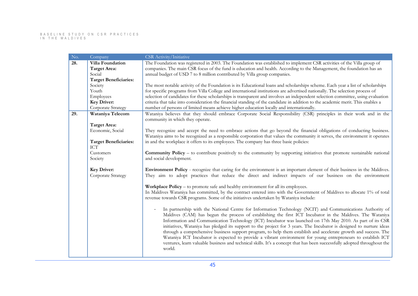| $\rm No.$          | Company                      | CSR Activity/Initiative                                                                                                                                                                                                 |
|--------------------|------------------------------|-------------------------------------------------------------------------------------------------------------------------------------------------------------------------------------------------------------------------|
| $\overline{28}$ .  | <b>Villa Foundation</b>      | The Foundation was registered in 2003. The Foundation was established to implement CSR activities of the Villa group of                                                                                                 |
|                    | <b>Target Area:</b>          | companies. The main CSR focus of the fund is education and health. According to the Management, the foundation has an                                                                                                   |
|                    | Social                       | annual budget of USD 7 to 8 million contributed by Villa group companies.                                                                                                                                               |
|                    | <b>Target Beneficiaries:</b> |                                                                                                                                                                                                                         |
|                    | Society                      | The most notable activity of the Foundation is its Educational loans and scholarships scheme. Each year a list of scholarships                                                                                          |
|                    | Youth                        | for specific programs from Villa College and international institutions are advertised nationally. The selection process of                                                                                             |
|                    | Employees                    | selection of candidates for these scholarships is transparent and involves an independent selection committee, using evaluation                                                                                         |
|                    | <b>Key Driver:</b>           | criteria that take into consideration the financial standing of the candidate in addition to the academic merit. This enables a                                                                                         |
|                    | Corporate Strategy           | number of persons of limited means achieve higher education locally and internationally.                                                                                                                                |
| 29.                | Wataniya Telecom             | Wataniya believes that they should embrace Corporate Social Responsibility (CSR) principles in their work and in the<br>community in which they operate.                                                                |
|                    | <b>Target Area:</b>          |                                                                                                                                                                                                                         |
|                    | Economic, Social             | They recognize and accept the need to embrace actions that go beyond the financial obligations of conducting business.                                                                                                  |
|                    |                              | Wataniya aims to be recognized as a responsible corporation that values the community it serves, the environment it operates                                                                                            |
|                    | <b>Target Beneficiaries:</b> | in and the workplace it offers to its employees. The company has three basic policies:                                                                                                                                  |
|                    | <b>ICT</b>                   |                                                                                                                                                                                                                         |
|                    | Customers                    | <b>Community Policy</b> – to contribute positively to the community by supporting initiatives that promote sustainable national                                                                                         |
|                    | Society                      | and social development.                                                                                                                                                                                                 |
|                    | <b>Key Driver:</b>           | Environment Policy - recognize that caring for the environment is an important element of their business in the Maldives.                                                                                               |
| Corporate Strategy |                              | They aim to adopt practices that reduce the direct and indirect impacts of our business on the environment                                                                                                              |
|                    |                              |                                                                                                                                                                                                                         |
|                    |                              | Workplace Policy – to promote safe and healthy environment for all its employees.                                                                                                                                       |
|                    |                              | In Maldives Wataniya has committed, by the contract entered into with the Government of Maldives to allocate 1% of total                                                                                                |
|                    |                              | revenue towards CSR programs. Some of the initiatives undertaken by Wataniya include:                                                                                                                                   |
|                    |                              |                                                                                                                                                                                                                         |
|                    |                              | In partnership with the National Centre for Information Technology (NCIT) and Communications Authority of<br>Maldives (CAM) has begun the process of establishing the first ICT Incubator in the Maldives. The Wataniya |
|                    |                              | Information and Communication Technology (ICT) Incubator was launched on 17th May 2010. As part of its CSR                                                                                                              |
|                    |                              | initiatives, Wataniya has pledged its support to the project for 3 years. The Incubator is designed to nurture ideas                                                                                                    |
|                    |                              | through a comprehensive business support program, to help them establish and accelerate growth and success. The                                                                                                         |
|                    |                              | Wataniya ICT Incubator is expected to provide a vibrant environment for young entrepreneurs to establish ICT                                                                                                            |
|                    |                              | ventures, learn valuable business and technical skills. It's a concept that has been successfully adopted throughout the                                                                                                |
|                    |                              | world.                                                                                                                                                                                                                  |
|                    |                              |                                                                                                                                                                                                                         |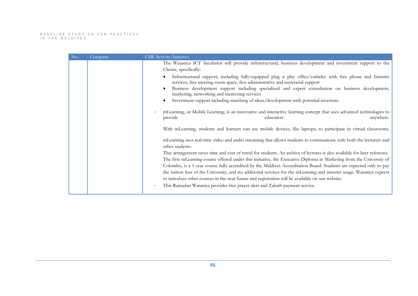| No. | Company | <b>CSR</b> Activity/Initiative                                                                                                                                                               |
|-----|---------|----------------------------------------------------------------------------------------------------------------------------------------------------------------------------------------------|
|     |         | The Wataniya ICT Incubator will provide infrastructural, business development and investment support to the                                                                                  |
|     |         | Clients, specifically:                                                                                                                                                                       |
|     |         | Infrastructural support, including fully-equipped plug n play office/cubicles with free phone and Internet<br>services, free meeting room space, free administrative and secretarial support |
|     |         | Business development support including specialized and expert consultation on business development,<br>marketing, networking and mentoring services                                          |
|     |         | Investment support including matching of ideas/development with potential investors.                                                                                                         |
|     |         | mLearning, or Mobile Learning, is an innovative and interactive learning concept that uses advanced technologies to<br>anywhere.<br>provide<br>education                                     |
|     |         | With mLearning, students and learners can use mobile devices, like laptops, to participate in virtual classrooms.                                                                            |
|     |         | mLearning uses real-time video and audio streaming that allows students to communicate with both the lecturers and<br>other students.                                                        |
|     |         | This arrangement saves time and cost of travel for students. An archive of lectures is also available for later reference.                                                                   |
|     |         | The first mLearning course offered under this initiative, the Executive Diploma in Marketing from the University of                                                                          |
|     |         | Colombo, is a 1-year course fully accredited by the Maldives Accreditation Board. Students are expected only to pay                                                                          |
|     |         | the tuition fees of the University, and no additional services for the mLearning and internet usage. Wataniya expects                                                                        |
|     |         | to introduce other courses in the near future and registration will be available on our website.                                                                                             |
|     |         | This Ramadan Wataniya provides free prayer alert and Zakath payment service.                                                                                                                 |
|     |         |                                                                                                                                                                                              |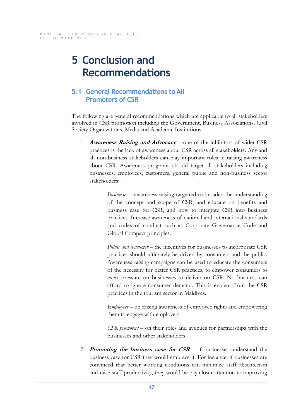# **5 Conclusion and Recommendations**

## **5.1 General Recommendations to All Promoters of CSR**

The following are general recommendations which are applicable to all stakeholders involved in CSR promotion including the Government, Business Associations, Civil Society Organizations, Media and Academic Institutions.

1. **Awareness Raising and Advocacy** – one of the inhibitors of wider CSR practices is the lack of awareness about CSR across all stakeholders. Any and all non-business stakeholders can play important roles in raising awareness about CSR. Awareness programs should target all stakeholders including businesses, employees, customers, general public and non-business sector stakeholders:

> *Businesses* – awareness raising targetted to broaden the understanding of the concept and scope of CSR, and educate on benefits and business case for CSR, and how to integrate CSR into business practices. Increase awareness of national and international standards and codes of conduct such as Corporate Governance Code and Global Compact principles.

> *Public and consumer* – the incentives for businesses to incorporate CSR practices should ultimately be driven by consumers and the public. Awareness raising campaigns can be used to educate the consumers of the necessity for better CSR practices, to empower consumers to exert pressure on businesses to deliver on CSR. No business can afford to ignore consumer demand. This is evident from the CSR practices in the tourism sector in Maldives.

> *Employees* – on raising awareness of employee rights and empowering them to engage with employers

> *CSR promoters* - on their roles and avenues for partnerships with the businesses and other stakeholders

2. **Promoting the business case for**  $CSR$  - if businesses understand the business case for CSR they would embrace it. For instance, if businesses are convinced that better working conditions can minimize staff absenteeism and raise staff productivity, they would be pay closer attention to improving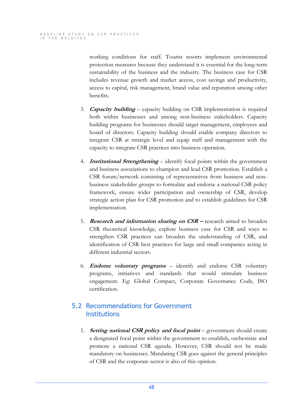working conditions for staff. Tourist resorts implement environmental protection measures because they understand it is essential for the long-term sustainability of the business and the industry. The business case for CSR includes revenue growth and market access, cost savings and productivity, access to capital, risk management, brand value and reputation among other benefits.

- 3. **Capacity building** capacity building on CSR implementation is required both within businesses and among non-business stakeholders. Capacity building programs for businesses should target management, employees and board of directors. Capacity building should enable company directors to integrate CSR at strategic level and equip staff and management with the capacity to integrate CSR practices into business operation.
- 4. **Institutional Strengthening** identify focal points within the government and business associations to champion and lead CSR promotion. Establish a CSR forum/network consisting of representatives from business and nonbusiness stakeholder groups to formulate and endorse a national CSR policy framework, ensure wider participation and ownership of CSR, develop strategic action plan for CSR promotion and to establish guidelines for CSR implementation.
- 5. **Research and information sharing on CSR** research aimed to broaden CSR theoretical knowledge, explore business case for CSR and ways to strengthen CSR practices can broaden the understanding of CSR, and identification of CSR best practices for large and small companies acting in different industrial sectors.
- 6. **Endorse voluntary programs** identify and endorse CSR voluntary programs, initiatives and standards that would stimulate business engagement. Eg: Global Compact, Corporate Governance Code, ISO certification.

## **5.2 Recommendations for Government Institutions**

1. **Setting national CSR policy and focal point** – government should create a designated focal point within the government to establish, orchestrate and promote a national CSR agenda. However, CSR should not be made mandatory on businesses. Mandating CSR goes against the general principles of CSR and the corporate sector is also of this opinion.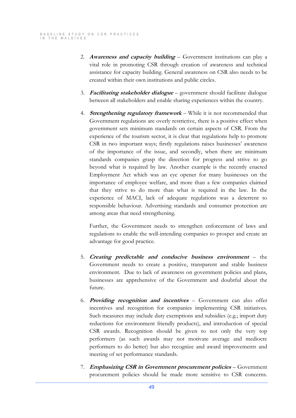- 2. **Awareness and capacity building** Government institutions can play a vital role in promoting CSR through creation of awareness and technical assistance for capacity building. General awareness on CSR also needs to be created within their own institutions and public circles.
- 3. **Facilitating stakeholder dialogue** government should facilitate dialogue between all stakeholders and enable sharing experiences within the country.
- 4. **Strengthening regulatory framework** While it is not recommended that Government regulations are overly restrictive, there is a positive effect when government sets minimum standards on certain aspects of CSR. From the experience of the tourism sector, it is clear that regulations help to promote CSR in two important ways; firstly regulations raises businesses' awareness of the importance of the issue, and secondly, when there are minimum standards companies grasp the direction for progress and strive to go beyond what is required by law. Another example is the recently enacted Employment Act which was an eye opener for many businesses on the importance of employee welfare, and more than a few companies claimed that they strive to do more than what is required in the law. In the experience of MACI, lack of adequate regulations was a deterrent to responsible behaviour. Advertising standards and consumer protection are among areas that need strengthening.

Further, the Government needs to strengthen enforcement of laws and regulations to enable the well-intending companies to prosper and create an advantage for good practice.

- 5. **Creating predictable and conducive business environment** the Government needs to create a positive, transparent and stable business environment. Due to lack of awareness on government policies and plans, businesses are apprehensive of the Government and doubtful about the future.
- 6. **Providing recognition and incentives** Government can also offer incentives and recognition for companies implementing CSR initiatives. Such measures may include duty exemptions and subsidies (e.g.; import duty reductions for environment friendly products), and introduction of special CSR awards. Recognition should be given to not only the very top performers (as such awards may not motivate average and mediocre performers to do better) but also recognize and award improvements and meeting of set performance standards.
- 7. *Emphasizing CSR in Government procurement policies* **Government** procurement policies should be made more sensitive to CSR concerns.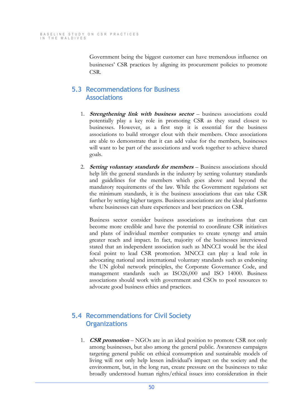Government being the biggest customer can have tremendous influence on businesses' CSR practices by aligning its procurement policies to promote CSR.

## **5.3 Recommendations for Business Associations**

- 1. **Strengthening link with business sector** business associations could potentially play a key role in promoting CSR as they stand closest to businesses. However, as a first step it is essential for the business associations to build stronger clout with their members. Once associations are able to demonstrate that it can add value for the members, businesses will want to be part of the associations and work together to achieve shared goals.
- 2. **Setting voluntary standards for members** Business associations should help lift the general standards in the industry by setting voluntary standards and guidelines for the members which goes above and beyond the mandatory requirements of the law. While the Government regulations set the minimum standards, it is the business associations that can take CSR further by setting higher targets. Business associations are the ideal platforms where businesses can share experiences and best practices on CSR.

Business sector consider business associations as institutions that can become more credible and have the potential to coordinate CSR initiatives and plans of individual member companies to create synergy and attain greater reach and impact. In fact, majority of the businesses interviewed stated that an independent association such as MNCCI would be the ideal focal point to lead CSR promotion. MNCCI can play a lead role in advocating national and international voluntary standards such as endorsing the UN global network principles, the Corporate Governance Code, and management standards such as ISO26,000 and ISO 14000. Business associations should work with government and CSOs to pool resources to advocate good business ethics and practices.

## **5.4 Recommendations for Civil Society Organizations**

1. **CSR promotion** – NGOs are in an ideal position to promote CSR not only among businesses, but also among the general public. Awareness campaigns targeting general public on ethical consumption and sustainable models of living will not only help lessen individual's impact on the society and the environment, but, in the long run, create pressure on the businesses to take broadly understood human rights/ethical issues into consideration in their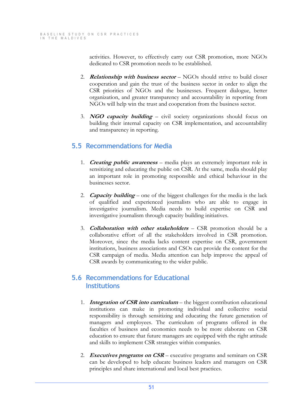activities. However, to effectively carry out CSR promotion, more NGOs dedicated to CSR promotion needs to be established.

- 2. **Relationship with business sector** NGOs should strive to build closer cooperation and gain the trust of the business sector in order to align the CSR priorities of NGOs and the businesses. Frequent dialogue, better organization, and greater transparency and accountability in reporting from NGOs will help win the trust and cooperation from the business sector.
- 3. **NGO capacity building** civil society organizations should focus on building their internal capacity on CSR implementation, and accountability and transparency in reporting.

## **5.5 Recommendations for Media**

- 1. **Creating public awareness** media plays an extremely important role in sensitizing and educating the public on CSR. At the same, media should play an important role in promoting responsible and ethical behaviour in the businesses sector.
- 2. **Capacity building** one of the biggest challenges for the media is the lack of qualified and experienced journalists who are able to engage in investigative journalism. Media needs to build expertise on CSR and investigative journalism through capacity building initiatives.
- 3. **Collaboration with other stakeholders** CSR promotion should be a collaborative effort of all the stakeholders involved in CSR promotion. Moreover, since the media lacks content expertise on CSR, government institutions, business associations and CSOs can provide the content for the CSR campaign of media. Media attention can help improve the appeal of CSR awards by communicating to the wider public.

### **5.6 Recommendations for Educational Institutions**

- 1. **Integration of CSR into curriculum** the biggest contribution educational institutions can make in promoting individual and collective social responsibility is through sensitizing and educating the future generation of managers and employees. The curriculum of programs offered in the faculties of business and economics needs to be more elaborate on CSR education to ensure that future managers are equipped with the right attitude and skills to implement CSR strategies within companies.
- 2. **Executives programs on CSR** executive programs and seminars on CSR can be developed to help educate business leaders and managers on CSR principles and share international and local best practices.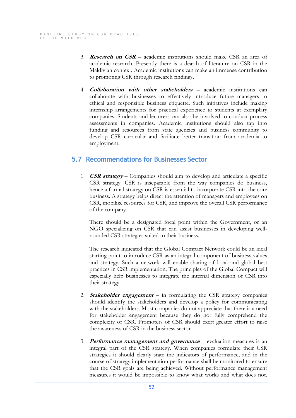- 3. **Research on**  $CSR$  academic institutions should make CSR an area of academic research. Presently there is a dearth of literature on CSR in the Maldivian context. Academic institutions can make an immense contribution to promoting CSR through research findings.
- 4. **Collaboration with other stakeholders** academic institutions can collaborate with businesses to effectively introduce future managers to ethical and responsible business etiquette. Such initiatives include making internship arrangements for practical experience to students at exemplary companies. Students and lecturers can also be involved to conduct process assessments in companies. Academic institutions should also tap into funding and resources from state agencies and business community to develop CSR curricular and facilitate better transition from academia to employment.

### **5.7 Recommendations for Businesses Sector**

1. **CSR strategy** – Companies should aim to develop and articulate a specific CSR strategy. CSR is inseparable from the way companies do business, hence a formal strategy on CSR is essential to incorporate CSR into the core business. A strategy helps direct the attention of managers and employees on CSR, mobilize resources for CSR, and improve the overall CSR performance of the company.

There should be a designated focal point within the Government, or an NGO specializing on CSR that can assist businesses in developing wellrounded CSR strategies suited to their business.

The research indicated that the Global Compact Network could be an ideal starting point to introduce CSR as an integral component of business values and strategy. Such a network will enable sharing of local and global best practices in CSR implementation. The principles of the Global Compact will especially help businesses to integrate the internal dimension of CSR into their strategy.

- 2. **Stakeholder engagement** in formulating the CSR strategy companies should identify the stakeholders and develop a policy for communicating with the stakeholders. Most companies do not appreciate that there is a need for stakeholder engagement because they do not fully comprehend the complexity of CSR. Promoters of CSR should exert greater effort to raise the awareness of CSR in the business sector.
- 3. **Performance management and governance** evaluation measures is an integral part of the CSR strategy. When companies formulate their CSR strategies it should clearly state the indicators of performance, and in the course of strategy implementation performance shall be monitored to ensure that the CSR goals are being achieved. Without performance management measures it would be impossible to know what works and what does not.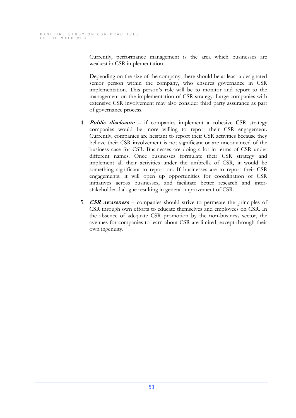Currently, performance management is the area which businesses are weakest in CSR implementation.

Depending on the size of the company, there should be at least a designated senior person within the company, who ensures governance in CSR implementation. This person's role will be to monitor and report to the management on the implementation of CSR strategy. Large companies with extensive CSR involvement may also consider third party assurance as part of governance process.

- 4. **Public disclosure** if companies implement a cohesive CSR strategy companies would be more willing to report their CSR engagement. Currently, companies are hesitant to report their CSR activities because they believe their CSR involvement is not significant or are unconvinced of the business case for CSR. Businesses are doing a lot in terms of CSR under different names. Once businesses formulate their CSR strategy and implement all their activities under the umbrella of CSR, it would be something significant to report on. If businesses are to report their CSR engagements, it will open up opportunities for coordination of CSR initiatives across businesses, and facilitate better research and interstakeholder dialogue resulting in general improvement of CSR.
- 5. **CSR awareness** companies should strive to permeate the principles of CSR through own efforts to educate themselves and employees on CSR. In the absence of adequate CSR promotion by the non-business sector, the avenues for companies to learn about CSR are limited, except through their own ingenuity.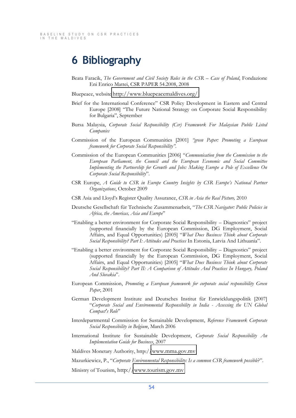# **6 Bibliography**

Beata Faracik, *The Government and Civil Society Roles in the CSR - Case of Poland*, Fondazione Eni Enrico Mattei, CSR PAPER 54.2008, 2008

Bluepeace, website<http://www.bluepeacemaldives.org/>

- Brief for the International Conference" CSR Policy Development in Eastern and Central Europe [2008] "The Future National Strategy on Corporate Social Responsibility for Bulgaria", September
- Bursa Malaysia, *Corporate Social Responsibility (Csr) Framework For Malaysian Public Listed Companies*
- Commission of the European Communities [2001] *"green Paper: Promoting a European framework for Corporate Social Responsibility"*.
- Commission of the European Communities [2006] "Communication from the Commission to the *European Parliament, the Council and the European Economic and Social Committee Implementing the Partnership for Growth and Jobs: Making Europe a Pole of Excellence On Corporate Social Responsibility*".
- CSR Europe, *A Guide to CSR in Europe Country Insights by CSR Europe's National Partner Organizations*, October 2009
- CSR Asia and Lloyd's Register Quality Assurance, *CSR in Asia the Real Picture*, 2010
- Deutsche Gesellschaft für Technische Zusammenarbeit, "The CSR Navigator: Public Policies in *Africa, the Americas, Asia and Europe*"
- "Enabling a better environment for Corporate Social Responsibility Diagnostics" project (supported financially by the European Commission, DG Employment, Social Affairs, and Equal Opportunities) [2005] "What Does Business Think about Corporate *Social Responsibility? Part I: Attitudes and Practices In Estonia, Latvia And Lithuania"*.
- "Enabling a better environment for Corporate Social Responsibility Diagnostics" project (supported financially by the European Commission, DG Employment, Social Affairs, and Equal Opportunities) [2005] "What Does Business Think about Corporate *Social Responsibility? Part II: A Comparison of Attitudes And Practices In Hungary, Poland*  And Slovakia".
- European Commission, *Promoting a European framework for corporate social responsibility Green Paper*, 2001
- German Development Institute and Deutsches Institut für Entwicklungspolitik [2007] ´*Corporate Social and Environmental Responsibility in India - Assessing the UN Global Compact's Role*"
- Interdepartmental Commission for Sustainable Development, *Reference Framework Corporate Social Responsibility in Belgium*, March 2006
- International Institute for Sustainable Development, *Corporate Social Responsibility An Implementation Guide for Business*, 2007

Maldives Monetary Authority, http:/[/www.mma.gov.mv](http://www.mma.gov.mv/)

Mazurkiewicz, P., "Corporate Environmental Responsibility: Is a common CSR framework possible?".

Ministry of Tourism, http:/[/www.tourism.gov.mv](http://www.tourism.gov.mv/)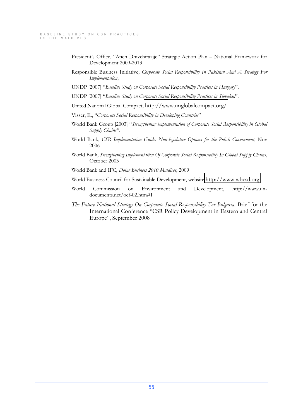- President's Office, "Aneh Dhivehiraajje" Strategic Action Plan National Framework for Development 2009-2013
- Responsible Business Initiative, *Corporate Social Responsibility In Pakistan And A Strategy For Implementation*,
- UNDP [2007] "Baseline Study on Corporate Social Responsibility Practices in Hungary".
- UNDP [2007] "Baseline Study on Corporate Social Responsibility Practices in Slovakia".
- United National Global Compact,<http://www.unglobalcompact.org/>
- Visser, E., "Corporate Social Responsibility in Developing Countries"
- World Bank Group [2003] "Strengthening implementation of Corporate Social Responsibility in Global Supply *Chains*".
- World Bank, *CSR Implementation Guide: Non-legislative Options for the Polish Government*, Nov 2006
- World Bank, *Strengthening Implementation Of Corporate Social Responsibility In Global Supply Chains*, October 2003
- World Bank and IFC, *Doing Business 2010 Maldives*, 2009
- World Business Council for Sustainable Development, website [http://www.wbcsd.org](http://www.wbcsd.org/)
- World Commission on Environment and Development, http://www.undocuments.net/ocf-02.htm#I
- *The Future National Strategy On Corporate Social Responsibility For Bulgaria,* Brief for the International Conference "CSR Policy Development in Eastern and Central Europe", September 2008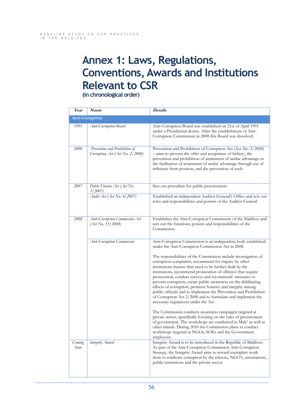# **Annex 1: Laws, Regulations, Conventions, Awards and Institutions Relevant to CSR**

**(in chronological order)**

| Year           | Name                                                             | <b>Details</b>                                                                                                                                                                                                                                                                                                                                                                                                                                                                                                                                                                                                                                                                                                                                                                                                                                                                                                                                                                                                                                                                         |
|----------------|------------------------------------------------------------------|----------------------------------------------------------------------------------------------------------------------------------------------------------------------------------------------------------------------------------------------------------------------------------------------------------------------------------------------------------------------------------------------------------------------------------------------------------------------------------------------------------------------------------------------------------------------------------------------------------------------------------------------------------------------------------------------------------------------------------------------------------------------------------------------------------------------------------------------------------------------------------------------------------------------------------------------------------------------------------------------------------------------------------------------------------------------------------------|
|                | <b>Anti-Corruption</b>                                           |                                                                                                                                                                                                                                                                                                                                                                                                                                                                                                                                                                                                                                                                                                                                                                                                                                                                                                                                                                                                                                                                                        |
| 1991           | Anti-Corruption Board                                            | Anti-Corruption Board was established on 21st of April 1991<br>under a Presidential decree. After the establishment of Anti-<br>Corruption Commission in 2008 this Board was dissolved.                                                                                                                                                                                                                                                                                                                                                                                                                                                                                                                                                                                                                                                                                                                                                                                                                                                                                                |
| 2000           | Prevention and Prohibition of<br>Corruption Act (Act No. 2/2000) | Prevention and Prohibition of Corruption Act (Act No. 2/2000)<br>- aims to prevent the offer and acceptance of bribery, the<br>prevention and prohibition of attainment of undue advantage or<br>the facilitation of attainment of undue advantage through use of<br>influence from position, and the prevention of such.                                                                                                                                                                                                                                                                                                                                                                                                                                                                                                                                                                                                                                                                                                                                                              |
| 2007           | Public Finance Act (Act No.<br>3/2007                            | Sets out procedure for public procurement.                                                                                                                                                                                                                                                                                                                                                                                                                                                                                                                                                                                                                                                                                                                                                                                                                                                                                                                                                                                                                                             |
|                | Audit Act (Act No. 4/2007)                                       | Established an independent Auditor General's Office and sets out<br>roles and responsibilities and powers of the Auditor General.                                                                                                                                                                                                                                                                                                                                                                                                                                                                                                                                                                                                                                                                                                                                                                                                                                                                                                                                                      |
| 2008           | Anti-Corruption Commission Act<br>(Art No. 13/2008)              | Establishes the Anti-Corruption Commission of the Maldives and<br>sets out the functions, powers and responsibilities of the<br>Commission.                                                                                                                                                                                                                                                                                                                                                                                                                                                                                                                                                                                                                                                                                                                                                                                                                                                                                                                                            |
|                | <b>Anti-Corruption Commission</b>                                | Anti-Corruption Commission is an independent body established<br>under the Anti-Corruption Commission Act in 2008.<br>The responsibilities of the Commission include investigation of<br>corruption complaints, recommend for inquiry by other<br>institutions matters that need to be further dealt by the<br>institutions, recommend prosecution of offenses that require<br>prosecution, conduct surveys and recommend measures to<br>prevent corruption, create public awareness on the debilitating<br>effects of corruption, promote honesty and integrity among<br>public officials and to implement the Prevention and Prohibition<br>of Corruption Act 2/2000 and to formulate and implement the<br>necessary regulations under the Act.<br>The Commission conducts awareness campaigns targeted at<br>private sector, specifically focusing on the rules of procurement<br>of government. The workshops are conducted in Male' as well as<br>other islands. During 2010 the Commission plans to conduct<br>workshops targeted at NGOs, SOEs and the Government<br>employees. |
| Coming<br>Soon | Integrity Award                                                  | Integrity Award is to be introduced in the Republic of Maldives.<br>As part of the Anti-Corruption Commission Anti-Corruption<br>Strategy, the Integrity Award aims to reward exemplary work<br>done to eradicate corruption by the citizens, NGO's, associations,<br>public institutions and the private sector.                                                                                                                                                                                                                                                                                                                                                                                                                                                                                                                                                                                                                                                                                                                                                                      |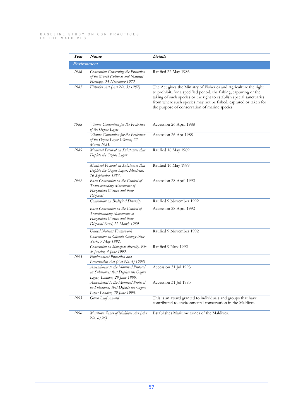| Year        | Name                                                                                                                             | <b>Details</b>                                                                                                                                                                                                                                                                                                                        |
|-------------|----------------------------------------------------------------------------------------------------------------------------------|---------------------------------------------------------------------------------------------------------------------------------------------------------------------------------------------------------------------------------------------------------------------------------------------------------------------------------------|
| Environment |                                                                                                                                  |                                                                                                                                                                                                                                                                                                                                       |
| 1986        | <b>Convention Concerning the Protection</b><br>of the World Cultural and Natural<br>Heritage, 23 November 1972                   | Ratified 22 May 1986                                                                                                                                                                                                                                                                                                                  |
| 1987        | Fisheries Act (Act No. 5/1987)                                                                                                   | The Act gives the Ministry of Fisheries and Agriculture the right<br>to prohibit, for a specified period, the fishing, capturing or the<br>taking of such species or the right to establish special sanctuaries<br>from where such species may not be fished, captured or taken for<br>the purpose of conservation of marine species. |
| 1988        | Vienna Convention for the Protection<br>of the Ozone Layer                                                                       | Accession 26 April 1988                                                                                                                                                                                                                                                                                                               |
|             | Vienna Convention for the Protection<br>of the Ozone Layer Vienna, 22<br>March 1985.                                             | Accession 26 Apr 1988                                                                                                                                                                                                                                                                                                                 |
| 1989        | Montreal Protocol on Substances that<br>Deplete the Ozone Layer                                                                  | Ratified 16 May 1989                                                                                                                                                                                                                                                                                                                  |
|             | Montreal Protocol on Substances that<br>Deplete the Ozone Layer, Montreal,<br>16 September 1987.                                 | Ratified 16 May 1989                                                                                                                                                                                                                                                                                                                  |
| 1992        | Basel Convention on the Control of<br>Trans-boundary Movements of<br>Hazardous Wastes and their<br>Disposal                      | Accession 28 April 1992                                                                                                                                                                                                                                                                                                               |
|             | Convention on Biological Diversity                                                                                               | Ratified 9 November 1992                                                                                                                                                                                                                                                                                                              |
|             | Basel Convention on the Control of<br>Transboundary Movements of<br>Hazardous Wastes and their<br>Disposal Basel, 22 March 1989. | Accession 28 April 1992                                                                                                                                                                                                                                                                                                               |
|             | United Nations Framework<br>Convention on Climate Change New<br>York, 9 May 1992.                                                | Ratified 9 November 1992                                                                                                                                                                                                                                                                                                              |
|             | Convention on biological diversity. Rio<br>de Janeiro, 5 June 1992.                                                              | Ratified 9 Nov 1992                                                                                                                                                                                                                                                                                                                   |
| 1993        | Environment Protection and<br>Preservation Act (Act No. 4/1993)                                                                  |                                                                                                                                                                                                                                                                                                                                       |
|             | Amendment to the Montreal Protocol<br>on Substances that Deplete the Ozone<br>Layer, London, 29 June 1990.                       | Accession 31 Jul 1993                                                                                                                                                                                                                                                                                                                 |
|             | Amendment to the Montreal Protocol<br>on Substances that Deplete the Ozone<br>Layer London, 29 June 1990.                        | Accession 31 Jul 1993                                                                                                                                                                                                                                                                                                                 |
| 1995        | Green Leaf Award                                                                                                                 | This is an award granted to individuals and groups that have<br>contributed to environmental conservation in the Maldives.                                                                                                                                                                                                            |
| 1996        | Maritime Zones of Maldives Act (Act<br>No. 6/96)                                                                                 | Establishes Maritime zones of the Maldives.                                                                                                                                                                                                                                                                                           |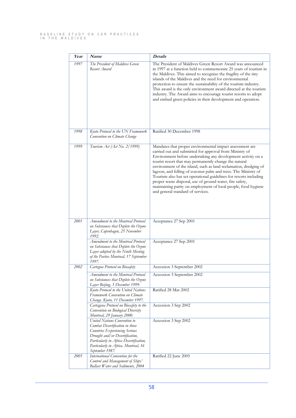| Year | Name                                                                                                                                                                                                                                               | <b>Details</b>                                                                                                                                                                                                                                                                                                                                                                                                                                                                                                                                                                                                              |
|------|----------------------------------------------------------------------------------------------------------------------------------------------------------------------------------------------------------------------------------------------------|-----------------------------------------------------------------------------------------------------------------------------------------------------------------------------------------------------------------------------------------------------------------------------------------------------------------------------------------------------------------------------------------------------------------------------------------------------------------------------------------------------------------------------------------------------------------------------------------------------------------------------|
| 1997 | The President of Maldives Green<br>Resort Award                                                                                                                                                                                                    | The President of Maldives Green Resort Award was announced<br>in 1997 at a function held to commemorate 25 years of tourism in<br>the Maldives. This aimed to recognize the fragility of the tiny<br>islands of the Maldives and the need for environmental<br>protection to ensure the sustainability of the tourism industry.<br>This award is the only environment award directed at the tourism<br>industry. The Award aims to encourage tourist resorts to adopt<br>and embed green policies in their development and operation.                                                                                       |
| 1998 | Kyoto Protocol to the UN Framework<br>Convention on Climate Change                                                                                                                                                                                 | Ratified 30 December 1998                                                                                                                                                                                                                                                                                                                                                                                                                                                                                                                                                                                                   |
| 1999 | Tourism Act (Act No. 2/1999)                                                                                                                                                                                                                       | Mandates that proper environmental impact assessment are<br>carried out and submitted for approval from Ministry of<br>Environment before undertaking any development activity on a<br>tourist resort that may permanently change the natural<br>environment of the island, such as land reclamation, dredging of<br>lagoon, and felling of coconut palm and trees. The Ministry of<br>Tourism also has set operational guidelines for resorts including<br>proper waste disposal, use of ground water, fire safety,<br>maintaining parity on employment of local people, food hygiene<br>and general standard of services. |
| 2001 | Amendment to the Montreal Protocol<br>on Substances that Deplete the Ozone<br>Layer, Copenhagen, 25 November<br>1992.                                                                                                                              | Acceptance 27 Sep 2001                                                                                                                                                                                                                                                                                                                                                                                                                                                                                                                                                                                                      |
|      | Amendment to the Montreal Protocol<br>on Substances that Deplete the Ozone<br>Layer adopted by the Ninth Meeting<br>of the Parties Montreal, 17 September<br>1997.                                                                                 | Acceptance 27 Sep 2001                                                                                                                                                                                                                                                                                                                                                                                                                                                                                                                                                                                                      |
| 2002 | Cartegna Protocol on Biosafety                                                                                                                                                                                                                     | Accession 3 September 2002                                                                                                                                                                                                                                                                                                                                                                                                                                                                                                                                                                                                  |
|      | Amendment to the Montreal Protocol<br>on Substances that Deplete the Ozone<br>Layer Beijing, 3 December 1999.                                                                                                                                      | Accession 3 September 2002                                                                                                                                                                                                                                                                                                                                                                                                                                                                                                                                                                                                  |
|      | Kyoto Protocol to the United Nations<br>Framework Convention on Climate<br>Change. Kyoto, 11 December 1997.                                                                                                                                        | Ratified 28 Mar 2002                                                                                                                                                                                                                                                                                                                                                                                                                                                                                                                                                                                                        |
|      | Cartagena Protocol on Biosafety to the<br>Convention on Biological Diversity<br>Montreal, 29 January 2000.                                                                                                                                         | Accession 3 Sep 2002                                                                                                                                                                                                                                                                                                                                                                                                                                                                                                                                                                                                        |
|      | United Nations Convention to<br>Combat Desertification in those<br><b>Countries Experiencing Serious</b><br>Drought and/ or Desertification,<br>Particularly in Africa Desertification,<br>Particularly in Africa. Montreal, 16<br>September 1987. | Accession 3 Sep 2002                                                                                                                                                                                                                                                                                                                                                                                                                                                                                                                                                                                                        |
| 2005 | International Convention for the<br>Control and Management of Ships'<br>Ballast Water and Sediments, 2004                                                                                                                                          | Ratified 22 June 2005                                                                                                                                                                                                                                                                                                                                                                                                                                                                                                                                                                                                       |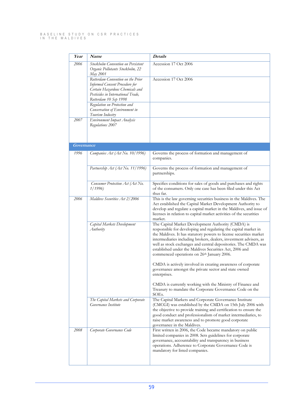| Year       | Name                                                                                                                                                                         | <b>Details</b>                                                                                                                                                                                                                                                                                                                                                                                                                               |
|------------|------------------------------------------------------------------------------------------------------------------------------------------------------------------------------|----------------------------------------------------------------------------------------------------------------------------------------------------------------------------------------------------------------------------------------------------------------------------------------------------------------------------------------------------------------------------------------------------------------------------------------------|
| 2006       | Stockholm Convention on Persistent<br>Organic Pollutants Stockholm, 22<br>May 2001                                                                                           | Accession 17 Oct 2006                                                                                                                                                                                                                                                                                                                                                                                                                        |
|            | Rotterdam Convention on the Prior<br><b>Informed Consent Procedure for</b><br>Certain Hazardous Chemicals and<br>Pesticides in International Trade,<br>Rotterdam 10 Sep 1998 | Accession 17 Oct 2006                                                                                                                                                                                                                                                                                                                                                                                                                        |
|            | Regulation on Protection and<br>Conservation of Environment in<br>Tourism Industry                                                                                           |                                                                                                                                                                                                                                                                                                                                                                                                                                              |
| 2007       | Environment Impact Analysis<br>Regulations 2007                                                                                                                              |                                                                                                                                                                                                                                                                                                                                                                                                                                              |
| Governance |                                                                                                                                                                              |                                                                                                                                                                                                                                                                                                                                                                                                                                              |
| 1996       | Companies Act (Act No. 10/1996)                                                                                                                                              | Governs the process of formation and management of<br>companies.                                                                                                                                                                                                                                                                                                                                                                             |
|            | Partnership Act (Act No. 11/1996)                                                                                                                                            | Governs the process of formation and management of<br>partnerships.                                                                                                                                                                                                                                                                                                                                                                          |
|            | Consumer Protection Act (Act No.<br>1/1996)                                                                                                                                  | Specifies conditions for sales of goods and purchases and rights<br>of the consumers. Only one case has been filed under this Act<br>thus far.                                                                                                                                                                                                                                                                                               |
| 2006       | Maldives Securities Act 2/2006                                                                                                                                               | This is the law governing securities business in the Maldives. The<br>Act established the Capital Market Development Authority to<br>develop and regulate a capital market in the Maldives, and issue of<br>licenses in relation to capital market activities of the securities<br>market.                                                                                                                                                   |
|            | Capital Markets Development<br>Authority                                                                                                                                     | The Capital Market Development Authority (CMDA) is<br>responsible for developing and regulating the capital market in<br>the Maldives. It has statutory powers to license securities market<br>intermediaries including brokers, dealers, investment advisers, as<br>well as stock exchanges and central depositories. The CMDA was<br>established under the Maldives Securities Act, 2006 and<br>commenced operations on 26th January 2006. |
|            |                                                                                                                                                                              | CMDA is actively involved in creating awareness of corporate<br>governance amongst the private sector and state owned<br>enterprises.                                                                                                                                                                                                                                                                                                        |
|            |                                                                                                                                                                              | CMDA is currently working with the Ministry of Finance and<br>Treasury to mandate the Corporate Governance Code on the<br>SOEs.                                                                                                                                                                                                                                                                                                              |
|            | The Capital Markets and Corporate<br>Governance Institute                                                                                                                    | The Capital Markets and Corporate Governance Institute<br>(CMCGI) was established by the CMDA on 15th July 2006 with<br>the objective to provide training and certification to ensure the<br>good conduct and professionalism of market intermediaries, to<br>raise market awareness and to promote good corporate<br>governance in the Maldives.                                                                                            |
| 2008       | Corporate Governance Code                                                                                                                                                    | First written in 2006, the Code became mandatory on public<br>limited companies in 2008. Sets guidelines for corporate<br>governance, accountability and transparency in business<br>operations. Adherence to Corporate Governance Code is<br>mandatory for listed companies.                                                                                                                                                                |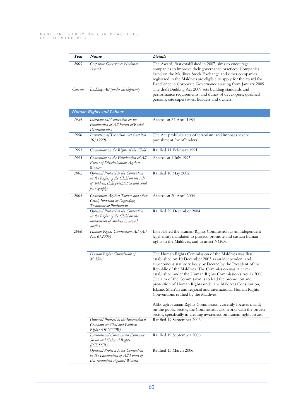| Year    | Name                                                                                                                                      | <b>Details</b>                                                                                                                                                                                                                                                                                                                                                                                                                                                                                                                                                                                                                                                             |
|---------|-------------------------------------------------------------------------------------------------------------------------------------------|----------------------------------------------------------------------------------------------------------------------------------------------------------------------------------------------------------------------------------------------------------------------------------------------------------------------------------------------------------------------------------------------------------------------------------------------------------------------------------------------------------------------------------------------------------------------------------------------------------------------------------------------------------------------------|
| 2009    | Corporate Governance National<br>Award                                                                                                    | The Award, first established in 2007, aims to encourage<br>companies to improve their governance practices. Companies<br>listed on the Maldives Stock Exchange and other companies<br>registered in the Maldives are eligible to apply for the award for<br>Excellence in Corporate Governance starting from January 2009.                                                                                                                                                                                                                                                                                                                                                 |
| Current | Building Act [under development]                                                                                                          | The draft Building Act 2009 sets building standards and<br>performance requirements, and duties of developers, qualified<br>persons, site supervisors, builders and owners.                                                                                                                                                                                                                                                                                                                                                                                                                                                                                                |
|         | Human Rights and Labour                                                                                                                   |                                                                                                                                                                                                                                                                                                                                                                                                                                                                                                                                                                                                                                                                            |
| 1984    | International Convention on the<br>Elimination of All Forms of Racial<br>Discrimination                                                   | Accession 24 April 1984                                                                                                                                                                                                                                                                                                                                                                                                                                                                                                                                                                                                                                                    |
| 1990    | Prevention of Terrorism Act (Act No.<br>10/1990                                                                                           | The Act prohibits acts of terrorism, and imposes severe<br>punishment for offenders.                                                                                                                                                                                                                                                                                                                                                                                                                                                                                                                                                                                       |
| 1991    | Convention on the Rights of the Child                                                                                                     | Ratified 11 February 1991                                                                                                                                                                                                                                                                                                                                                                                                                                                                                                                                                                                                                                                  |
| 1993    | Convention on the Elimination of All<br>Forms of Discrimination Against<br>Women                                                          | Accession 1 July 1993                                                                                                                                                                                                                                                                                                                                                                                                                                                                                                                                                                                                                                                      |
| 2002    | Optional Protocol to the Convention<br>on the Rights of the Child on the sale<br>of children, child prostitution and child<br>pornography | Ratified 10 May 2002                                                                                                                                                                                                                                                                                                                                                                                                                                                                                                                                                                                                                                                       |
| 2004    | Convention Against Torture and other<br>Cruel, Inhuman or Degrading<br>Treatment or Punishment                                            | Accession 20 April 2004                                                                                                                                                                                                                                                                                                                                                                                                                                                                                                                                                                                                                                                    |
|         | Optional Protocol to the Convention<br>on the Rights of the Child on the<br>involvement of children in armed<br>conflict                  | Ratified 29 December 2004                                                                                                                                                                                                                                                                                                                                                                                                                                                                                                                                                                                                                                                  |
| 2006    | Human Rights Commission Act (Act<br>No. 6/2006)                                                                                           | Established the Human Rights Commission as an independent<br>legal entity mandated to protect, promote and sustain human<br>rights in the Maldives, and to assist NGOs.                                                                                                                                                                                                                                                                                                                                                                                                                                                                                                    |
|         | Human Rights Commission of<br><b>Maldives</b>                                                                                             | The Human Rights Commission of the Maldives was first<br>established on 10 December 2003 as an independent and<br>autonomous statutory body by Decree by the President of the<br>Republic of the Maldives. The Commission was later re-<br>established under the Human Rights Commission's Act in 2006.<br>The aim of the Commission is to lead the promotion and<br>protection of Human Rights under the Maldives Constitution,<br>Islamic Shari'ah and regional and international Human Rights<br>Conventions ratified by the Maldives.<br>Although Human Rights Commission currently focuses mainly<br>on the public sector, the Commission also works with the private |
|         | Optional Protocol to the International                                                                                                    | sector, specifically in creating awareness on human rights issues.<br>Ratified 19 September 2006                                                                                                                                                                                                                                                                                                                                                                                                                                                                                                                                                                           |
|         | Covenant on Civil and Political<br>Rights (OPICCPR)                                                                                       |                                                                                                                                                                                                                                                                                                                                                                                                                                                                                                                                                                                                                                                                            |
|         | International Covenant on Economic,<br>Social and Cultural Rights<br>(ICESCR)                                                             | Ratified 19 September 2006                                                                                                                                                                                                                                                                                                                                                                                                                                                                                                                                                                                                                                                 |
|         | Optional Protocol to the Convention<br>on the Elimination of All Forms of<br>Discrimination Against Women                                 | Ratified 13 March 2006                                                                                                                                                                                                                                                                                                                                                                                                                                                                                                                                                                                                                                                     |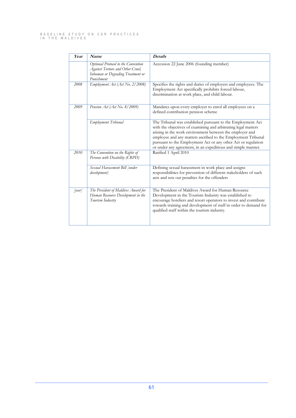| Year                   | Name                                                                                                                       | <b>Details</b>                                                                                                                                                                                                                                                                                                                                                                             |
|------------------------|----------------------------------------------------------------------------------------------------------------------------|--------------------------------------------------------------------------------------------------------------------------------------------------------------------------------------------------------------------------------------------------------------------------------------------------------------------------------------------------------------------------------------------|
|                        | Optional Protocol to the Convention<br>Against Torture and Other Cruel,<br>Inhuman or Degrading Treatment or<br>Punishment | Accession 22 June 2006 (founding member)                                                                                                                                                                                                                                                                                                                                                   |
| 2008                   | Employment Act (Act No. 2/2008)                                                                                            | Specifies the rights and duties of employers and employees. The<br>Employment Act specifically prohibits forced labour,<br>discrimination at work place, and child labour.                                                                                                                                                                                                                 |
| 2009                   | Pension Act (Act No. 8/2009)                                                                                               | Mandates upon every employer to enrol all employees on a<br>defined contribution pension scheme                                                                                                                                                                                                                                                                                            |
|                        | Employment Tribunal                                                                                                        | The Tribunal was established pursuant to the Employment Act<br>with the objectives of examining and arbitrating legal matters<br>arising in the work environment between the employer and<br>employee and any matters ascribed to the Employment Tribunal<br>pursuant to the Employment Act or any other Act or regulation<br>or under any agreement, in an expeditious and simple manner. |
| 2010                   | The Convention on the Rights of<br>Persons with Disability (CRPD)                                                          | Ratified 1 April 2010                                                                                                                                                                                                                                                                                                                                                                      |
|                        | Sexual Harassment Bill [under<br>development]                                                                              | Defining sexual harassment in work place and assigns<br>responsibilities for prevention of different stakeholders of such<br>acts and sets out penalties for the offenders                                                                                                                                                                                                                 |
| $\lceil$ year $\rceil$ | The President of Maldives Award for<br>Human Resource Development in the<br>Tourism Industry                               | The President of Maldives Award for Human Resource<br>Development in the Tourism Industry was established to<br>encourage hoteliers and resort operators to invest and contribute<br>towards training and development of staff in order to demand for<br>qualified staff within the tourism industry.                                                                                      |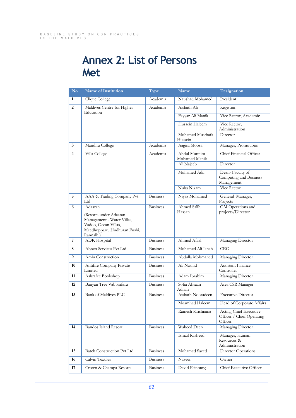# **Annex 2: List of Persons Met**

| $\mathbf{N}\mathbf{o}$  | <b>Name of Institution</b>                                                                                                | Type            | <b>Name</b>                   | Designation                                                    |
|-------------------------|---------------------------------------------------------------------------------------------------------------------------|-----------------|-------------------------------|----------------------------------------------------------------|
| $\mathbf{1}$            | Clique College                                                                                                            | Academia        | Naushad Mohamed               | President                                                      |
| $\overline{2}$          | Maldives Centre for Higher<br>Education                                                                                   | Academia        | Aishath Ali                   | Registrar                                                      |
|                         |                                                                                                                           |                 | Fayyaz Ali Manik              | Vice Rector, Academic                                          |
|                         |                                                                                                                           |                 | Hussein Haleem                | Vice Rector,<br>Administration                                 |
|                         |                                                                                                                           |                 | Mohamed Musthafa<br>Hussein   | Director                                                       |
| $\mathbf{3}$            | Mandhu College                                                                                                            | Academia        | Aagisa Moosa                  | Manager, Promotions                                            |
| $\overline{\mathbf{4}}$ | Villa College                                                                                                             | Academia        | Abdul Munnim<br>Mohamed Manik | Chief Financial Officer                                        |
|                         |                                                                                                                           |                 | Ali Najeeb                    | Director                                                       |
|                         |                                                                                                                           |                 | Mohamed Adil                  | Dean-Faculty of<br>Computing and Business<br>Management        |
|                         |                                                                                                                           |                 | Nuha Nizam                    | Vice Rector                                                    |
| 5                       | AAA & Trading Company Pvt<br>Ltd                                                                                          | <b>Business</b> | Niyaz Mohamed                 | General Manager,<br>Projects                                   |
| 6                       | Adaaran                                                                                                                   | <b>Business</b> | Ahmed Salih<br>Hassan         | <b>GM</b> Operations and<br>projects/Director                  |
|                         | (Resorts under Adaaran<br>Management - Water Villas,<br>Vadoo, Ocean Villas,<br>Meedhupparu, Hudhuran Fushi,<br>Rannalhi) |                 |                               |                                                                |
| $\overline{7}$          | <b>ADK</b> Hospital                                                                                                       | <b>Business</b> | Ahmed Afaal                   | Managing Director                                              |
| 8                       | Alysen Services Pvt Ltd                                                                                                   | <b>Business</b> | Mohamed Ali Janah             | <b>CEO</b>                                                     |
| 9                       | Amin Construction                                                                                                         | <b>Business</b> | Abdulla Mohmaned              | Managing Director                                              |
| 10                      | Antifire Company Private<br>Limited                                                                                       | <b>Business</b> | Ali Nashid                    | <b>Assistant Finance</b><br>Controller                         |
| 11                      | Ashrafee Bookshop                                                                                                         | <b>Business</b> | Adam Ibrahim                  | Managing Director                                              |
| 12                      | Banyan Tree Vabbinfaru                                                                                                    | <b>Business</b> | Sofia Ahsaan<br>Adnan         | Area CSR Manager                                               |
| 13                      | Bank of Maldives PLC                                                                                                      | <b>Business</b> | Aishath Nooradeen             | <b>Executive Director</b>                                      |
|                         |                                                                                                                           |                 | Moamhed Haleem                | Head of Corporate Affairs                                      |
|                         |                                                                                                                           |                 | Ramesh Krishnana              | Acting Chief Executive<br>Officer / Chief Operating<br>Officer |
| 14                      | <b>Bandos Island Resort</b>                                                                                               | <b>Business</b> | Waheed Deen                   | Managing Director                                              |
|                         |                                                                                                                           |                 | Ismail Rasheed                | Manager, Human<br>Resources &<br>Administration                |
| 15                      | <b>Batch Construction Pvt Ltd</b>                                                                                         | <b>Business</b> | Mohamed Saeed                 | Director Operations                                            |
| 16                      | Calvin Textiles                                                                                                           | <b>Business</b> | Nazeer                        | Owner                                                          |
| 17                      | Crown & Champa Resorts                                                                                                    | <b>Business</b> | David Feinburg                | Chief Executive Officer                                        |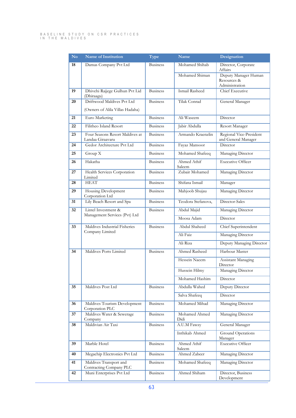| No. | <b>Name of Institution</b>                           | Type            | <b>Name</b>           | Designation                                           |
|-----|------------------------------------------------------|-----------------|-----------------------|-------------------------------------------------------|
| 18  | Damas Company Pvt Ltd                                | <b>Business</b> | Mohamed Shihab        | Director, Corporate<br>Affairs                        |
|     |                                                      |                 | Mohamed Shiman        | Deputy Manager Human<br>Resources &<br>Administration |
| 19  | Dhivehi Rajjege Gulhun Pvt Lid<br>(Dhiraagu)         | <b>Business</b> | Ismail Rasheed        | Chief Executive                                       |
| 20  | Driftwood Maldives Pvt Ltd                           | <b>Business</b> | <b>Tilak Conrad</b>   | General Manager                                       |
|     | (Owners of Alila Villas Hadaha)                      |                 |                       |                                                       |
| 21  | Euro Marketing                                       | <b>Business</b> | Ali Waseem            | Director                                              |
| 22  | Filitheo Island Resort                               | <b>Business</b> | Jabir Abdulla         | Resort Manager                                        |
| 23  | Four Seasons Resort Maldives at<br>Landaa Giraavaru  | <b>Business</b> | Armando Kraenzlin     | Regional Vice-President<br>and General Manager        |
| 24  | Gedor Architecture Pvt Ltd                           | <b>Business</b> | Fayaz Mansoor         | Director                                              |
| 25  | Group X                                              | <b>Business</b> | Mohamed Shafeeq       | Managing Director                                     |
| 26  | Hakatha                                              | <b>Business</b> | Ahmed Athif<br>Saleem | <b>Executive Officer</b>                              |
| 27  | Health Services Corporation<br>Limited               | <b>Business</b> | Zubair Mohamed        | Managing Director                                     |
| 28  | <b>HEAT</b>                                          | <b>Business</b> | Shifana Ismail        | Manager                                               |
| 29  | Housing Development<br>Corporation Ltd               | <b>Business</b> | Mahjoob Shujau        | Managing Director                                     |
| 31  | Lily Beach Resort and Spa                            | <b>Business</b> | Teodora Stefanova,    | Director-Sales                                        |
| 32  | Lintel Investment &<br>Management Services (Pvt) Ltd | <b>Business</b> | Abdul Majid           | Managing Director                                     |
|     |                                                      |                 | Moosa Adam            | Director                                              |
| 33  | Maldives Industrial Fisheries<br>Company Limited     | <b>Business</b> | Abdul Shaheed         | Chief Superintendent                                  |
|     |                                                      |                 | Ali Faiz              | Managing Director                                     |
|     |                                                      |                 | Ali Riza              | Deputy Managing Director                              |
| 34  | Maldives Ports Limited                               | <b>Business</b> | Ahmed Rasheed         | Harbour Master                                        |
|     |                                                      |                 | Hessein Naeem         | Assistant Managing<br>Director                        |
|     |                                                      |                 | Hussein Hilmy         | Managing Director                                     |
|     |                                                      |                 | Mohamed Hashim        | Director                                              |
| 35  | Maldives Post Ltd                                    | <b>Business</b> | Abdulla Wahed         | Deputy Director                                       |
|     |                                                      |                 | Salva Shafeeq         | Director                                              |
| 36  | Maldives Tourism Development<br>Corporation PLC      | <b>Business</b> | Mohamed Mihad         | Managing Director                                     |
| 37  | Maldives Water & Sewerage<br>Company                 | <b>Business</b> | Mohamed Ahmed<br>Didi | Managing Director                                     |
| 38  | Maldivian Air Taxi                                   | <b>Business</b> | A.U.M Fawzy           | General Manager                                       |
|     |                                                      |                 | Inthikab Ahmed        | <b>Ground Operations</b><br>Manager                   |
| 39  | Marble Hotel                                         | <b>Business</b> | Ahmed Athif<br>Saleem | <b>Executive Officer</b>                              |
| 40  | Megachip Electronics Pvt Ltd                         | <b>Business</b> | Ahmed Zabeer          | Managing Director                                     |
| 41  | Maldives Transport and<br>Contracting Company PLC    | <b>Business</b> | Mohamed Shafeeq       | Managing Director                                     |
| 42  | Muni Enterprises Pvt Ltd                             | <b>Business</b> | Ahmed Shiham          | Director, Business<br>Development                     |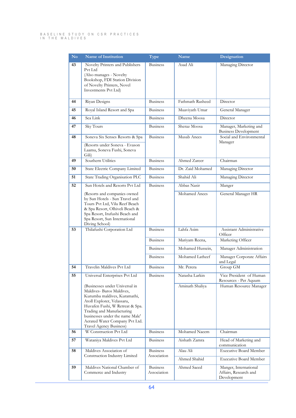| N <sub>o</sub> | <b>Name of Institution</b>                                                                                                                                                                                                                                                                | Type                           | <b>Name</b>             | Designation                                                   |
|----------------|-------------------------------------------------------------------------------------------------------------------------------------------------------------------------------------------------------------------------------------------------------------------------------------------|--------------------------------|-------------------------|---------------------------------------------------------------|
| 43             | Novelty Printers and Publishers<br>Pvt Ltd<br>(Also manages - Novelty<br>Bookshop, FDI Station Division<br>of Novelty Printers, Novel<br>Investments Pvt Ltd)                                                                                                                             | <b>Business</b>                | Asad Ali                | Managing Director                                             |
| 44             | Riyan Designs                                                                                                                                                                                                                                                                             | <b>Business</b>                | <b>Fathmath Rasheed</b> | Director                                                      |
| 45             | Royal Island Resort and Spa                                                                                                                                                                                                                                                               | <b>Business</b>                | Muaviyath Umar          | General Manager                                               |
| 46             | Sea Link                                                                                                                                                                                                                                                                                  | <b>Business</b>                | Dheena Moosa            | Director                                                      |
| 47             | Sky Tours                                                                                                                                                                                                                                                                                 | <b>Business</b>                | Sheraz Moosa            | Manager, Marketing and<br><b>Business Development</b>         |
| 48             | Soneva Six Senses Resorts & Spa                                                                                                                                                                                                                                                           | <b>Business</b>                | Musab Anees             | Social and Environmental                                      |
|                | (Resorts under Soneva - Evason<br>Laamu, Soneva Fushi, Soneva<br>Gili)                                                                                                                                                                                                                    |                                |                         | Manager                                                       |
| 49             | Southern Utilities                                                                                                                                                                                                                                                                        | <b>Business</b>                | Ahmed Zareer            | Chairman                                                      |
| 50             | State Electric Company Limited                                                                                                                                                                                                                                                            | <b>Business</b>                | Dr. Zaid Mohamed        | Managing Director                                             |
| 51             | State Trading Organisation PLC                                                                                                                                                                                                                                                            | <b>Business</b>                | Shahid Ali              | Managing Director                                             |
| 52             | Sun Hotels and Resorts Pyt Ltd                                                                                                                                                                                                                                                            | <b>Business</b>                | Abbas Nasir             | Manger                                                        |
|                | (Resorts and companies owned<br>by Sun Hotels - Sun Travel and<br>Tours Pvt Ltd, Vilu Reef Beach<br>& Spa Resort, Olhiveli Beach &<br>Spa Resort, Irufushi Beach and<br>Spa Resort, Sun International<br>Diving School)                                                                   |                                | Mohamed Anees           | General Manager HR                                            |
| 53             | Thilafushi Corporation Ltd                                                                                                                                                                                                                                                                | <b>Business</b>                | Lahfa Asim              | Assistant Administrative<br>Officer                           |
|                |                                                                                                                                                                                                                                                                                           | <b>Business</b>                | Mariyam Reena,          | Marketing Officer                                             |
|                |                                                                                                                                                                                                                                                                                           | <b>Business</b>                | Mohamed Hussein,        | Manager Administration                                        |
|                |                                                                                                                                                                                                                                                                                           | <b>Business</b>                | Mohamed Latheef         | Manager Corporate Affairs<br>and Legal                        |
| 54             | <b>Travelin Maldives Pvt Ltd</b>                                                                                                                                                                                                                                                          | <b>Business</b>                | Mr. Perera              | Group GM                                                      |
| 55             | Universal Enterprises Pvt Ltd                                                                                                                                                                                                                                                             | <b>Business</b>                | Natasha Larkın          | Vice President of Human<br>Resources - Per Aquum              |
|                | (Businesses under Universal in<br>Maldives- Baros Maldives,<br>Kurumba maldives, Kuramathi,<br>Atoll Explorer, Velassaru,<br>Huvafen Fushi, W Retreat & Spa.<br>Trading and Manufacturing<br>businesses under the name Male'<br>Aerated Water Company Pvt Ltd.<br>Travel Agency Business) |                                | Aminath Shaliya         | Human Resource Manager                                        |
| 56             | <b>W</b> Construction Pvt Ltd                                                                                                                                                                                                                                                             | <b>Business</b>                | Mohamed Naeem           | Chairman                                                      |
| 57             | Wataniya Maldives Pvt Ltd                                                                                                                                                                                                                                                                 | <b>Business</b>                | Aishath Zamra           | Head of Marketing and<br>communication                        |
| 58             | Maldives Association of<br>Construction Industry Limited                                                                                                                                                                                                                                  | <b>Business</b><br>Association | Alau Ali                | <b>Executive Board Member</b>                                 |
|                |                                                                                                                                                                                                                                                                                           |                                | Ahmed Shahid            | <b>Executive Board Member</b>                                 |
| 59             | Maldives National Chamber of<br>Commerce and Industry                                                                                                                                                                                                                                     | <b>Business</b><br>Association | Ahmed Saeed             | Manger, International<br>Affairs, Research and<br>Development |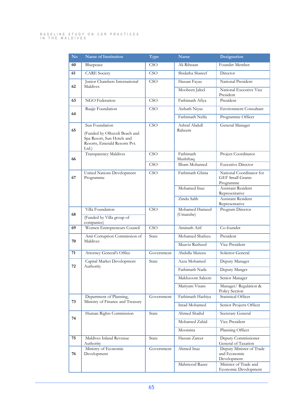| $\mathbf{N}\mathbf{o}$ | <b>Name of Institution</b>                                                                                             | Type                    | <b>Name</b>                  | Designation                                                      |
|------------------------|------------------------------------------------------------------------------------------------------------------------|-------------------------|------------------------------|------------------------------------------------------------------|
| 60                     | Bluepeace                                                                                                              | <b>CSO</b>              | Ali Rilwaan                  | Founder Member                                                   |
| 61                     | <b>CARE</b> Society                                                                                                    | <b>CSO</b>              | Shidatha Shareef             | Director                                                         |
| 62                     | Junior Chambers International<br>Maldives                                                                              | CSO                     | Hassan Fayaz                 | National President                                               |
|                        |                                                                                                                        |                         | Moobeen Jaleel               | National Executive Vice<br>President                             |
| 63                     | NGO Federation                                                                                                         | <b>CSO</b>              | Fathimath Afiya              | President                                                        |
| 64                     | Raajje Foundation                                                                                                      | <b>CSO</b>              | Aishath Niyaz                | <b>Environment Consultant</b>                                    |
|                        |                                                                                                                        |                         | Fathimath Nelfa              | Programme Officer                                                |
| 65                     | Sun Foundation<br>(Funded by Olhuveli Beach and<br>Spa Resort, Sun Hotels and<br>Resorts, Emerald Resorts Pvt.<br>Ltd. | <b>CSO</b>              | Ashraf Abdull<br>Raheem      | General Manager                                                  |
| 66                     | <b>Transparency Maldives</b>                                                                                           | CSO                     | <b>Fathimath</b><br>Mushthaq | Project Coordinator                                              |
|                        |                                                                                                                        | CSO                     | <b>Ilham Mohamed</b>         | <b>Executive Director</b>                                        |
| 67                     | United Nations Development<br>Programme                                                                                | CSO                     | Fathimath Ghina              | National Coordinator for<br><b>GEF</b> Small Grants<br>Programme |
|                        |                                                                                                                        |                         | Mohamed Inaz                 | Assistant Resident<br>Representative                             |
|                        |                                                                                                                        |                         | Zindu Salih                  | Assistant Resident<br>Representative                             |
| 68                     | Villa Foundation<br>(Funded by Villa group of<br>companies)                                                            | CSO                     | Mohamed Hameed<br>(Umarube)  | Program Director                                                 |
| 69                     | Women Entrepreneurs Council                                                                                            | $\overline{\text{CSO}}$ | Aminath Arif                 | Co-founder                                                       |
|                        | Anti-Corruption Commission of                                                                                          | State                   | Mohamed Shafeeu              | President                                                        |
| 70                     | Maldives                                                                                                               |                         | Muaviz Rasheed               | Vice President                                                   |
| 71                     | <b>Attorney General's Office</b>                                                                                       | Government              | Abdulla Muizzu               | Solicitor General                                                |
|                        | Capital Market Development                                                                                             | State                   | Azza Mohamed                 | Deputy Manager                                                   |
| 72                     | Authority                                                                                                              |                         | Fathimath Nada               | Deputy Manger                                                    |
|                        |                                                                                                                        |                         | Makhzoom Saleem              | Senior Manager                                                   |
|                        |                                                                                                                        |                         | Mariyam Visam                | Manager/ Regulation &<br>Policy Section                          |
| 73                     | Department of Planning,<br>Ministry of Finance and Treasury                                                            | Government              | Fathimath Hashiya            | Statistical Officer                                              |
|                        |                                                                                                                        |                         | Imad Mohamed                 | Senior Projects Officer                                          |
| 74                     | Human Rights Commission                                                                                                | State                   | Ahmed Shaihd                 | Secretary General                                                |
|                        |                                                                                                                        |                         | Mohamed Zahid                | Vice President                                                   |
|                        |                                                                                                                        |                         | Moomina                      | Planning Officer                                                 |
| 75                     | Maldives Inland Revenue<br>Authority                                                                                   | State                   | Hassan Zareer                | Deputy Commissioner<br>General of Taxation                       |
| 76                     | Ministry of Economic<br>Development                                                                                    | Government              | Ahmed Inaz                   | Deputy Minister of Trade<br>and Economic<br>Development          |
|                        |                                                                                                                        |                         | Mahmood Razee                | Minister of Trade and<br>Economic Development                    |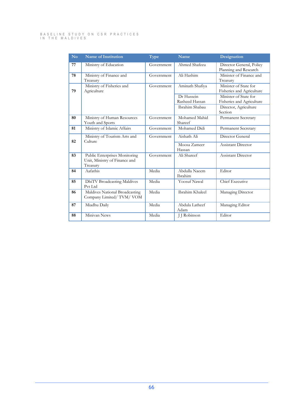| No | <b>Name of Institution</b>                                                 | Type       | <b>Name</b>                     | Designation                                        |
|----|----------------------------------------------------------------------------|------------|---------------------------------|----------------------------------------------------|
| 77 | Ministry of Education                                                      | Government | Ahmed Shafeeu                   | Director General, Policy<br>Planning and Research  |
| 78 | Ministry of Finance and<br>Treasury                                        | Government | Ali Hashim                      | Minister of Finance and<br>Treasury                |
| 79 | Ministry of Fisheries and<br>Agriculture                                   | Government | Aminath Shafiya                 | Minister of State for<br>Fisheries and Agriculture |
|    |                                                                            |            | Dr Hussein<br>Rasheed Hassan    | Minister of State for<br>Fisheries and Agriculture |
|    |                                                                            |            | Ibrahim Shabau                  | Director, Agriculture<br>Section                   |
| 80 | Ministry of Human Resources<br>Youth and Sports                            | Government | Mohamed Mahid<br>Shareef        | <b>Permanent Secretary</b>                         |
| 81 | Ministry of Islamic Affairs                                                | Government | Mohamed Didi                    | Permanent Secretary                                |
| 82 | Ministry of Tourism Arts and<br>Culture                                    | Government | Aishath Ali                     | Director General                                   |
|    |                                                                            |            | Moosa Zameer<br>Hassan          | <b>Assistant Director</b>                          |
| 83 | Public Enterprises Monitoring<br>Unit, Ministry of Finance and<br>Treasury | Government | Ali Shareef                     | <b>Assistant Director</b>                          |
| 84 | Aafathis                                                                   | Media      | Abdulla Naeem<br><b>Ibrahim</b> | Editor                                             |
| 85 | DhiTV Broadcasting Maldives<br>Pvt Ltd                                     | Media      | <b>Yoosuf Nawal</b>             | Chief Executive                                    |
| 86 | Maldives National Broadcasting<br>Company Limited/TVM/VOM                  | Media      | Ibrahim Khaleel                 | Managing Director                                  |
| 87 | Miadhu Daily                                                               | Media      | Abdula Latheef<br>Adam          | Managing Editor                                    |
| 88 | Minivan News                                                               | Media      | J J Robinson                    | Editor                                             |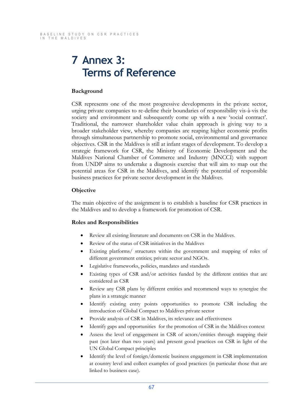# **7 Annex 3: Terms of Reference**

### **Background**

CSR represents one of the most progressive developments in the private sector, urging private companies to re-define their boundaries of responsibility vis-à-vis the society and environment and subsequently come up with a new 'social contract'. Traditional, the narrower shareholder value chain approach is giving way to a broader stakeholder view, whereby companies are reaping higher economic profits through simultaneous partnership to promote social, environmental and governance objectives. CSR in the Maldives is still at infant stages of development. To develop a strategic framework for CSR, the Ministry of Economic Development and the Maldives National Chamber of Commerce and Industry (MNCCI) with support from UNDP aims to undertake a diagnosis exercise that will aim to map out the potential areas for CSR in the Maldives, and identify the potential of responsible business practices for private sector development in the Maldives.

### **Objective**

The main objective of the assignment is to establish a baseline for CSR practices in the Maldives and to develop a framework for promotion of CSR.

### **Roles and Responsibilities**

- Review all existing literature and documents on CSR in the Maldives.
- Review of the status of CSR initiatives in the Maldives
- Existing platforms/ structures within the government and mapping of roles of different government entities; private sector and NGOs.
- Legislative frameworks, policies, mandates and standards
- Existing types of CSR and/or activities funded by the different entities that are considered as CSR
- Review any CSR plans by different entities and recommend ways to synergize the plans in a strategic manner
- Identify existing entry points opportunities to promote CSR including the introduction of Global Compact to Maldives private sector
- Provide analysis of CSR in Maldives, its relevance and effectiveness
- Identify gaps and opportunities for the promotion of CSR in the Maldives context
- Assess the level of engagement in CSR of actors/entities through mapping their past (not later than two years) and present good practices on CSR in light of the UN Global Compact principles
- Identify the level of foreign/domestic business engagement in CSR implementation at country level and collect examples of good practices (in particular those that are linked to business case).